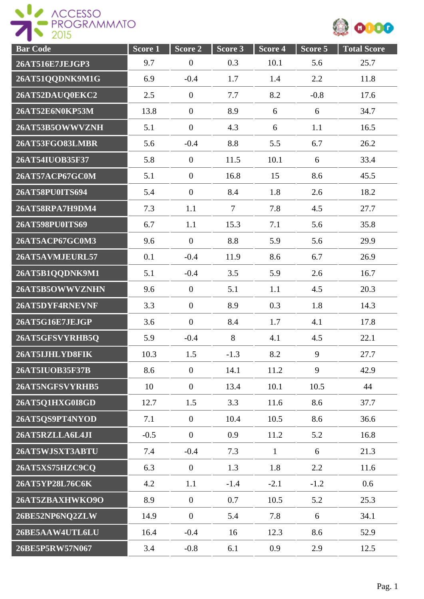

| <b>Bar Code</b> | Score <sub>1</sub> | Score 2          | Score 3        | Score 4      | $Score$ 5 | <b>Total Score</b> |
|-----------------|--------------------|------------------|----------------|--------------|-----------|--------------------|
| 26AT516E7JEJGP3 | 9.7                | $\boldsymbol{0}$ | 0.3            | 10.1         | 5.6       | 25.7               |
| 26AT51QQDNK9M1G | 6.9                | $-0.4$           | 1.7            | 1.4          | 2.2       | 11.8               |
| 26AT52DAUQ0EKC2 | 2.5                | $\boldsymbol{0}$ | 7.7            | 8.2          | $-0.8$    | 17.6               |
| 26AT52E6N0KP53M | 13.8               | $\boldsymbol{0}$ | 8.9            | 6            | 6         | 34.7               |
| 26AT53B5OWWVZNH | 5.1                | $\boldsymbol{0}$ | 4.3            | 6            | 1.1       | 16.5               |
| 26AT53FGO83LMBR | 5.6                | $-0.4$           | 8.8            | 5.5          | 6.7       | 26.2               |
| 26AT54IUOB35F37 | 5.8                | $\boldsymbol{0}$ | 11.5           | 10.1         | 6         | 33.4               |
| 26AT57ACP67GC0M | 5.1                | $\boldsymbol{0}$ | 16.8           | 15           | 8.6       | 45.5               |
| 26AT58PU0ITS694 | 5.4                | $\boldsymbol{0}$ | 8.4            | 1.8          | 2.6       | 18.2               |
| 26AT58RPA7H9DM4 | 7.3                | 1.1              | $\overline{7}$ | 7.8          | 4.5       | 27.7               |
| 26AT598PU0ITS69 | 6.7                | 1.1              | 15.3           | 7.1          | 5.6       | 35.8               |
| 26AT5ACP67GC0M3 | 9.6                | $\overline{0}$   | 8.8            | 5.9          | 5.6       | 29.9               |
| 26AT5AVMJEURL57 | 0.1                | $-0.4$           | 11.9           | 8.6          | 6.7       | 26.9               |
| 26AT5B1QQDNK9M1 | 5.1                | $-0.4$           | 3.5            | 5.9          | 2.6       | 16.7               |
| 26AT5B5OWWVZNHN | 9.6                | $\boldsymbol{0}$ | 5.1            | 1.1          | 4.5       | 20.3               |
| 26AT5DYF4RNEVNF | 3.3                | $\boldsymbol{0}$ | 8.9            | 0.3          | 1.8       | 14.3               |
| 26AT5G16E7JEJGP | 3.6                | $\boldsymbol{0}$ | 8.4            | 1.7          | 4.1       | 17.8               |
| 26AT5GFSVYRHB5Q | 5.9                | $-0.4$           | 8              | 4.1          | 4.5       | 22.1               |
| 26AT5IJHLYD8FIK | 10.3               | 1.5              | $-1.3$         | 8.2          | 9         | 27.7               |
| 26AT5IUOB35F37B | 8.6                | $\boldsymbol{0}$ | 14.1           | 11.2         | 9         | 42.9               |
| 26AT5NGFSVYRHB5 | 10                 | $\boldsymbol{0}$ | 13.4           | 10.1         | 10.5      | 44                 |
| 26AT5Q1HXG0I8GD | 12.7               | 1.5              | 3.3            | 11.6         | 8.6       | 37.7               |
| 26AT5QS9PT4NYOD | 7.1                | $\overline{0}$   | 10.4           | 10.5         | 8.6       | 36.6               |
| 26AT5RZLLA6L4JI | $-0.5$             | $\overline{0}$   | 0.9            | 11.2         | 5.2       | 16.8               |
| 26AT5WJSXT3ABTU | 7.4                | $-0.4$           | 7.3            | $\mathbf{1}$ | 6         | 21.3               |
| 26AT5XS75HZC9CQ | 6.3                | $\mathbf{0}$     | 1.3            | 1.8          | 2.2       | 11.6               |
| 26AT5YP28L76C6K | 4.2                | 1.1              | $-1.4$         | $-2.1$       | $-1.2$    | 0.6                |
| 26AT5ZBAXHWKO9O | 8.9                | $\boldsymbol{0}$ | 0.7            | 10.5         | 5.2       | 25.3               |
| 26BE52NP6NQ2ZLW | 14.9               | $\boldsymbol{0}$ | 5.4            | 7.8          | 6         | 34.1               |
| 26BE5AAW4UTL6LU | 16.4               | $-0.4$           | 16             | 12.3         | 8.6       | 52.9               |
| 26BE5P5RW57N067 | 3.4                | $-0.8$           | 6.1            | 0.9          | 2.9       | 12.5               |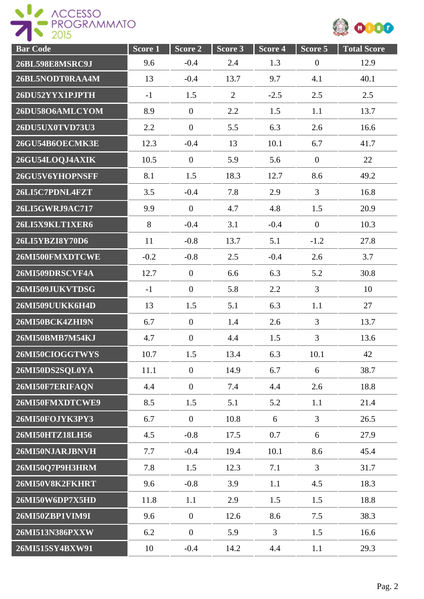

| <b>Bar Code</b>        | Score <sub>1</sub> | Score 2          | Score 3        | Score 4 | Score 5        | <b>Total Score</b> |
|------------------------|--------------------|------------------|----------------|---------|----------------|--------------------|
| <b>26BL598E8MSRC9J</b> | 9.6                | $-0.4$           | 2.4            | 1.3     | $\mathbf{0}$   | 12.9               |
| 26BL5NODT0RAA4M        | 13                 | $-0.4$           | 13.7           | 9.7     | 4.1            | 40.1               |
| 26DU52YYX1PJPTH        | $-1$               | 1.5              | $\overline{2}$ | $-2.5$  | 2.5            | 2.5                |
| 26DU58O6AMLCYOM        | 8.9                | $\mathbf{0}$     | 2.2            | 1.5     | 1.1            | 13.7               |
| 26DU5UX0TVD73U3        | 2.2                | $\boldsymbol{0}$ | 5.5            | 6.3     | 2.6            | 16.6               |
| 26GU54B6OECMK3E        | 12.3               | $-0.4$           | 13             | 10.1    | 6.7            | 41.7               |
| 26GU54LOQJ4AXIK        | 10.5               | $\theta$         | 5.9            | 5.6     | $\mathbf{0}$   | 22                 |
| 26GU5V6YHOPNSFF        | 8.1                | 1.5              | 18.3           | 12.7    | 8.6            | 49.2               |
| 26LI5C7PDNL4FZT        | 3.5                | $-0.4$           | 7.8            | 2.9     | $\overline{3}$ | 16.8               |
| 26LI5GWRJ9AC717        | 9.9                | $\mathbf{0}$     | 4.7            | 4.8     | 1.5            | 20.9               |
| 26LI5X9KLT1XER6        | 8                  | $-0.4$           | 3.1            | $-0.4$  | $\mathbf{0}$   | 10.3               |
| 26LI5YBZI8Y70D6        | 11                 | $-0.8$           | 13.7           | 5.1     | $-1.2$         | 27.8               |
| 26MI500FMXDTCWE        | $-0.2$             | $-0.8$           | 2.5            | $-0.4$  | 2.6            | 3.7                |
| 26MI509DRSCVF4A        | 12.7               | $\boldsymbol{0}$ | 6.6            | 6.3     | 5.2            | 30.8               |
| 26MI509JUKVTDSG        | $-1$               | $\boldsymbol{0}$ | 5.8            | 2.2     | $\overline{3}$ | 10                 |
| 26MI509UUKK6H4D        | 13                 | 1.5              | 5.1            | 6.3     | 1.1            | 27                 |
| 26MI50BCK4ZHI9N        | 6.7                | $\theta$         | 1.4            | 2.6     | $\overline{3}$ | 13.7               |
| 26MI50BMB7M54KJ        | 4.7                | $\boldsymbol{0}$ | 4.4            | 1.5     | $\overline{3}$ | 13.6               |
| 26MI50CIOGGTWYS        | 10.7               | 1.5              | 13.4           | 6.3     | 10.1           | 42                 |
| 26MI50DS2SQL0YA        | 11.1               | $\boldsymbol{0}$ | 14.9           | 6.7     | 6              | 38.7               |
| 26MI50F7ERIFAQN        | 4.4                | $\overline{0}$   | 7.4            | 4.4     | 2.6            | 18.8               |
| 26MI50FMXDTCWE9        | 8.5                | 1.5              | 5.1            | 5.2     | 1.1            | 21.4               |
| 26MI50FOJYK3PY3        | 6.7                | $\mathbf{0}$     | 10.8           | 6       | $\overline{3}$ | 26.5               |
| 26MI50HTZ18LH56        | 4.5                | $-0.8$           | 17.5           | 0.7     | 6              | 27.9               |
| 26MI50NJARJBNVH        | 7.7                | $-0.4$           | 19.4           | 10.1    | 8.6            | 45.4               |
| 26MI50Q7P9H3HRM        | 7.8                | 1.5              | 12.3           | 7.1     | $\overline{3}$ | 31.7               |
| 26MI50V8K2FKHRT        | 9.6                | $-0.8$           | 3.9            | 1.1     | 4.5            | 18.3               |
| 26MI50W6DP7X5HD        | 11.8               | 1.1              | 2.9            | 1.5     | 1.5            | 18.8               |
| 26MI50ZBP1VIM9I        | 9.6                | $\boldsymbol{0}$ | 12.6           | 8.6     | 7.5            | 38.3               |
| 26MI513N386PXXW        | 6.2                | $\boldsymbol{0}$ | 5.9            | 3       | 1.5            | 16.6               |
| 26MI515SY4BXW91        | 10                 | $-0.4$           | 14.2           | 4.4     | 1.1            | 29.3               |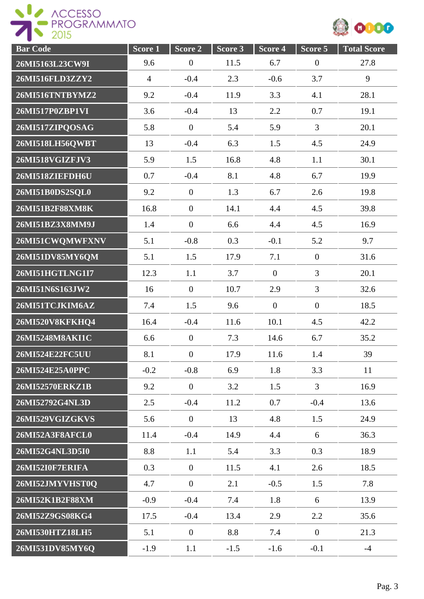

| <b>Bar</b> Code        | Score <sub>1</sub> | Score 2          | Score 3 | Score 4        | Score 5          | <b>Total Score</b> |
|------------------------|--------------------|------------------|---------|----------------|------------------|--------------------|
| 26MI5163L23CW9I        | 9.6                | $\boldsymbol{0}$ | 11.5    | 6.7            | $\boldsymbol{0}$ | 27.8               |
| 26MI516FLD3ZZY2        | $\overline{4}$     | $-0.4$           | 2.3     | $-0.6$         | 3.7              | 9                  |
| 26MI516TNTBYMZ2        | 9.2                | $-0.4$           | 11.9    | 3.3            | 4.1              | 28.1               |
| 26MI517P0ZBP1VI        | 3.6                | $-0.4$           | 13      | 2.2            | 0.7              | 19.1               |
| 26MI517ZIPQOSAG        | 5.8                | $\boldsymbol{0}$ | 5.4     | 5.9            | 3                | 20.1               |
| 26MI518LH56QWBT        | 13                 | $-0.4$           | 6.3     | 1.5            | 4.5              | 24.9               |
| 26MI518VGIZFJV3        | 5.9                | 1.5              | 16.8    | 4.8            | 1.1              | 30.1               |
| 26MI518ZIEFDH6U        | 0.7                | $-0.4$           | 8.1     | 4.8            | 6.7              | 19.9               |
| 26MI51B0DS2SQL0        | 9.2                | $\boldsymbol{0}$ | 1.3     | 6.7            | 2.6              | 19.8               |
| 26MI51B2F88XM8K        | 16.8               | $\boldsymbol{0}$ | 14.1    | 4.4            | 4.5              | 39.8               |
| 26MI51BZ3X8MM9J        | 1.4                | $\boldsymbol{0}$ | 6.6     | 4.4            | 4.5              | 16.9               |
| 26MI51CWQMWFXNV        | 5.1                | $-0.8$           | 0.3     | $-0.1$         | 5.2              | 9.7                |
| 26MI51DV85MY6QM        | 5.1                | 1.5              | 17.9    | 7.1            | $\boldsymbol{0}$ | 31.6               |
| 26MI51HGTLNG1I7        | 12.3               | 1.1              | 3.7     | $\overline{0}$ | $\overline{3}$   | 20.1               |
| 26MI51N6S163JW2        | 16                 | $\boldsymbol{0}$ | 10.7    | 2.9            | 3                | 32.6               |
| 26MI51TCJKIM6AZ        | 7.4                | 1.5              | 9.6     | $\overline{0}$ | $\boldsymbol{0}$ | 18.5               |
| 26MI520V8KFKHQ4        | 16.4               | $-0.4$           | 11.6    | 10.1           | 4.5              | 42.2               |
| 26MI5248M8AKI1C        | 6.6                | $\boldsymbol{0}$ | 7.3     | 14.6           | 6.7              | 35.2               |
| 26MI524E22FC5UU        | 8.1                | $\boldsymbol{0}$ | 17.9    | 11.6           | 1.4              | 39                 |
| 26MI524E25A0PPC        | $-0.2$             | $-0.8$           | 6.9     | 1.8            | 3.3              | 11                 |
| 26MI52570ERKZ1B        | 9.2                | $\overline{0}$   | 3.2     | 1.5            | $\overline{3}$   | 16.9               |
| 26MI52792G4NL3D        | 2.5                | $-0.4$           | 11.2    | 0.7            | $-0.4$           | 13.6               |
| 26MI529VGIZGKVS        | 5.6                | $\overline{0}$   | 13      | 4.8            | 1.5              | 24.9               |
| 26MI52A3F8AFCL0        | 11.4               | $-0.4$           | 14.9    | 4.4            | 6                | 36.3               |
| 26MI52G4NL3D5I0        | 8.8                | 1.1              | 5.4     | 3.3            | 0.3              | 18.9               |
| <b>26MI52I0F7ERIFA</b> | 0.3                | $\mathbf{0}$     | 11.5    | 4.1            | 2.6              | 18.5               |
| 26MI52JMYVHST0Q        | 4.7                | $\overline{0}$   | 2.1     | $-0.5$         | 1.5              | 7.8                |
| 26MI52K1B2F88XM        | $-0.9$             | $-0.4$           | 7.4     | 1.8            | 6                | 13.9               |
| 26MI52Z9GS08KG4        | 17.5               | $-0.4$           | 13.4    | 2.9            | 2.2              | 35.6               |
| 26MI530HTZ18LH5        | 5.1                | $\overline{0}$   | 8.8     | 7.4            | $\boldsymbol{0}$ | 21.3               |
| 26MI531DV85MY6Q        | $-1.9$             | 1.1              | $-1.5$  | $-1.6$         | $-0.1$           | $-4$               |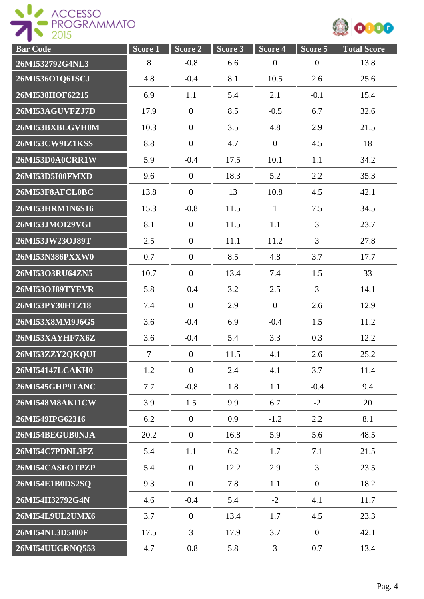

| <b>Bar Code</b> | Score 1        | Score 2          | Score 3 | Score 4          | Score 5          | <b>Total Score</b> |
|-----------------|----------------|------------------|---------|------------------|------------------|--------------------|
| 26MI532792G4NL3 | 8              | $-0.8$           | 6.6     | $\boldsymbol{0}$ | $\boldsymbol{0}$ | 13.8               |
| 26MI536O1Q61SCJ | 4.8            | $-0.4$           | 8.1     | 10.5             | 2.6              | 25.6               |
| 26MI538HOF62215 | 6.9            | 1.1              | 5.4     | 2.1              | $-0.1$           | 15.4               |
| 26MI53AGUVFZJ7D | 17.9           | $\boldsymbol{0}$ | 8.5     | $-0.5$           | 6.7              | 32.6               |
| 26MI53BXBLGVH0M | 10.3           | $\boldsymbol{0}$ | 3.5     | 4.8              | 2.9              | 21.5               |
| 26MI53CW9IZ1KSS | 8.8            | $\boldsymbol{0}$ | 4.7     | $\overline{0}$   | 4.5              | 18                 |
| 26MI53D0A0CRR1W | 5.9            | $-0.4$           | 17.5    | 10.1             | 1.1              | 34.2               |
| 26MI53D5I00FMXD | 9.6            | $\boldsymbol{0}$ | 18.3    | 5.2              | 2.2              | 35.3               |
| 26MI53F8AFCL0BC | 13.8           | $\boldsymbol{0}$ | 13      | 10.8             | 4.5              | 42.1               |
| 26MI53HRM1N6S16 | 15.3           | $-0.8$           | 11.5    | $\mathbf{1}$     | 7.5              | 34.5               |
| 26MI53JMOI29VGI | 8.1            | $\overline{0}$   | 11.5    | 1.1              | 3                | 23.7               |
| 26MI53JW23OJ89T | 2.5            | $\boldsymbol{0}$ | 11.1    | 11.2             | 3                | 27.8               |
| 26MI53N386PXXW0 | 0.7            | $\boldsymbol{0}$ | 8.5     | 4.8              | 3.7              | 17.7               |
| 26MI53O3RU64ZN5 | 10.7           | $\boldsymbol{0}$ | 13.4    | 7.4              | 1.5              | 33                 |
| 26MI53OJ89TYEVR | 5.8            | $-0.4$           | 3.2     | 2.5              | 3                | 14.1               |
| 26MI53PY30HTZ18 | 7.4            | $\boldsymbol{0}$ | 2.9     | $\boldsymbol{0}$ | 2.6              | 12.9               |
| 26MI53X8MM9J6G5 | 3.6            | $-0.4$           | 6.9     | $-0.4$           | 1.5              | 11.2               |
| 26MI53XAYHF7X6Z | 3.6            | $-0.4$           | 5.4     | 3.3              | 0.3              | 12.2               |
| 26MI53ZZY2QKQUI | $\overline{7}$ | $\boldsymbol{0}$ | 11.5    | 4.1              | 2.6              | 25.2               |
| 26MI54147LCAKH0 | 1.2            | $\boldsymbol{0}$ | 2.4     | 4.1              | 3.7              | 11.4               |
| 26MI545GHP9TANC | 7.7            | $-0.8$           | 1.8     | 1.1              | $-0.4$           | 9.4                |
| 26MI548M8AKI1CW | 3.9            | 1.5              | 9.9     | 6.7              | $-2$             | 20                 |
| 26MI549IPG62316 | 6.2            | $\overline{0}$   | 0.9     | $-1.2$           | 2.2              | 8.1                |
| 26MI54BEGUB0NJA | 20.2           | $\overline{0}$   | 16.8    | 5.9              | 5.6              | 48.5               |
| 26MI54C7PDNL3FZ | 5.4            | 1.1              | 6.2     | 1.7              | 7.1              | 21.5               |
| 26MI54CASFOTPZP | 5.4            | $\overline{0}$   | 12.2    | 2.9              | $\overline{3}$   | 23.5               |
| 26MI54E1B0DS2SQ | 9.3            | $\overline{0}$   | 7.8     | 1.1              | $\overline{0}$   | 18.2               |
| 26MI54H32792G4N | 4.6            | $-0.4$           | 5.4     | $-2$             | 4.1              | 11.7               |
| 26MI54L9UL2UMX6 | 3.7            | $\boldsymbol{0}$ | 13.4    | 1.7              | 4.5              | 23.3               |
| 26MI54NL3D5I00F | 17.5           | $\overline{3}$   | 17.9    | 3.7              | $\boldsymbol{0}$ | 42.1               |
| 26MI54UUGRNQ553 | 4.7            | $-0.8$           | 5.8     | 3                | 0.7              | 13.4               |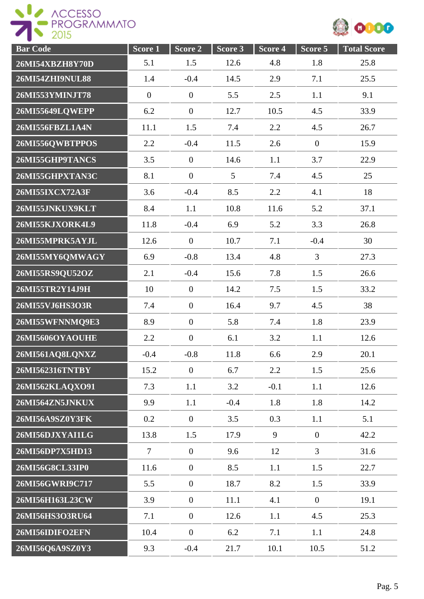

| <b>Bar Code</b>        | $Score\overline{1}$ | Score 2          | Score 3         | Score 4 | Score 5          | <b>Total Score</b> |
|------------------------|---------------------|------------------|-----------------|---------|------------------|--------------------|
| 26MI54XBZH8Y70D        | 5.1                 | 1.5              | 12.6            | 4.8     | 1.8              | 25.8               |
| 26MI54ZHI9NUL88        | 1.4                 | $-0.4$           | 14.5            | 2.9     | 7.1              | 25.5               |
| 26MI553YMINJT78        | $\boldsymbol{0}$    | $\boldsymbol{0}$ | 5.5             | 2.5     | 1.1              | 9.1                |
| 26MI55649LQWEPP        | 6.2                 | $\boldsymbol{0}$ | 12.7            | 10.5    | 4.5              | 33.9               |
| 26MI556FBZL1A4N        | 11.1                | 1.5              | 7.4             | 2.2     | 4.5              | 26.7               |
| 26MI556QWBTPPOS        | 2.2                 | $-0.4$           | 11.5            | 2.6     | $\boldsymbol{0}$ | 15.9               |
| 26MI55GHP9TANCS        | 3.5                 | $\overline{0}$   | 14.6            | 1.1     | 3.7              | 22.9               |
| 26MI55GHPXTAN3C        | 8.1                 | $\overline{0}$   | $5\overline{)}$ | 7.4     | 4.5              | 25                 |
| 26MI55IXCX72A3F        | 3.6                 | $-0.4$           | 8.5             | 2.2     | 4.1              | 18                 |
| 26MI55JNKUX9KLT        | 8.4                 | 1.1              | 10.8            | 11.6    | 5.2              | 37.1               |
| 26MI55KJXORK4L9        | 11.8                | $-0.4$           | 6.9             | 5.2     | 3.3              | 26.8               |
| 26MI55MPRK5AYJL        | 12.6                | $\overline{0}$   | 10.7            | 7.1     | $-0.4$           | 30                 |
| 26MI55MY6QMWAGY        | 6.9                 | $-0.8$           | 13.4            | 4.8     | 3                | 27.3               |
| 26MI55RS9QU52OZ        | 2.1                 | $-0.4$           | 15.6            | 7.8     | 1.5              | 26.6               |
| 26MI55TR2Y14J9H        | 10                  | $\boldsymbol{0}$ | 14.2            | 7.5     | 1.5              | 33.2               |
| 26MI55VJ6HS3O3R        | 7.4                 | $\boldsymbol{0}$ | 16.4            | 9.7     | 4.5              | 38                 |
| 26MI55WFNNMQ9E3        | 8.9                 | $\boldsymbol{0}$ | 5.8             | 7.4     | 1.8              | 23.9               |
| 26MI5606OYAOUHE        | 2.2                 | $\overline{0}$   | 6.1             | 3.2     | 1.1              | 12.6               |
| 26MI561AQ8LQNXZ        | $-0.4$              | $-0.8$           | 11.8            | 6.6     | 2.9              | 20.1               |
| 26MI562316TNTBY        | 15.2                | $\boldsymbol{0}$ | 6.7             | 2.2     | 1.5              | 25.6               |
| 26MI562KLAQXO91        | 7.3                 | 1.1              | 3.2             | $-0.1$  | 1.1              | 12.6               |
| 26MI564ZN5JNKUX        | 9.9                 | 1.1              | $-0.4$          | 1.8     | 1.8              | 14.2               |
| 26MI56A9SZ0Y3FK        | 0.2                 | $\overline{0}$   | 3.5             | 0.3     | 1.1              | 5.1                |
| 26MI56DJXYAI1LG        | 13.8                | 1.5              | 17.9            | 9       | $\mathbf{0}$     | 42.2               |
| <b>26MI56DP7X5HD13</b> | $\overline{7}$      | $\overline{0}$   | 9.6             | 12      | $\overline{3}$   | 31.6               |
| 26MI56G8CL33IP0        | 11.6                | $\boldsymbol{0}$ | 8.5             | 1.1     | 1.5              | 22.7               |
| 26MI56GWRI9C717        | 5.5                 | $\boldsymbol{0}$ | 18.7            | 8.2     | 1.5              | 33.9               |
| 26MI56H163L23CW        | 3.9                 | $\boldsymbol{0}$ | 11.1            | 4.1     | $\overline{0}$   | 19.1               |
| 26MI56HS3O3RU64        | 7.1                 | $\boldsymbol{0}$ | 12.6            | 1.1     | 4.5              | 25.3               |
| 26MI56IDIFO2EFN        | 10.4                | $\boldsymbol{0}$ | 6.2             | 7.1     | 1.1              | 24.8               |
| 26MI56Q6A9SZ0Y3        | 9.3                 | $-0.4$           | 21.7            | 10.1    | 10.5             | 51.2               |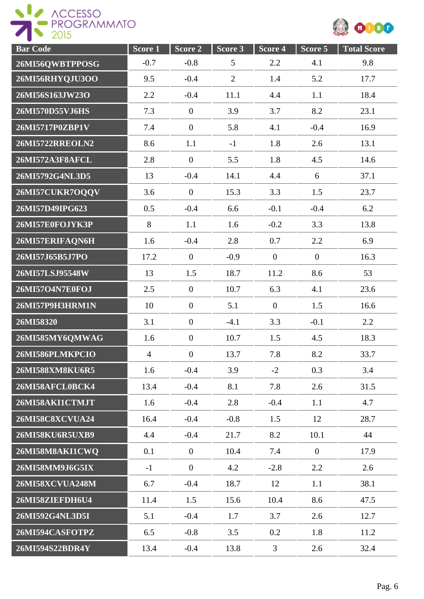



| <b>Bar Code</b>        | Score 1        | Score 2          | Score <sub>3</sub> | Score 4          | Score 5      | <b>Total Score</b> |
|------------------------|----------------|------------------|--------------------|------------------|--------------|--------------------|
| 26MI56QWBTPPOSG        | $-0.7$         | $-0.8$           | 5                  | 2.2              | 4.1          | 9.8                |
| 26MI56RHYQJU3OO        | 9.5            | $-0.4$           | $\overline{2}$     | 1.4              | 5.2          | 17.7               |
| 26MI56S163JW23O        | 2.2            | $-0.4$           | 11.1               | 4.4              | 1.1          | 18.4               |
| 26MI570D55VJ6HS        | 7.3            | $\boldsymbol{0}$ | 3.9                | 3.7              | 8.2          | 23.1               |
| 26MI5717P0ZBP1V        | 7.4            | $\boldsymbol{0}$ | 5.8                | 4.1              | $-0.4$       | 16.9               |
| 26MI5722RREOLN2        | 8.6            | 1.1              | $-1$               | 1.8              | 2.6          | 13.1               |
| 26MI572A3F8AFCL        | 2.8            | $\boldsymbol{0}$ | 5.5                | 1.8              | 4.5          | 14.6               |
| 26MI5792G4NL3D5        | 13             | $-0.4$           | 14.1               | 4.4              | 6            | 37.1               |
| 26MI57CUKR7OQQV        | 3.6            | $\theta$         | 15.3               | 3.3              | 1.5          | 23.7               |
| 26MI57D49IPG623        | 0.5            | $-0.4$           | 6.6                | $-0.1$           | $-0.4$       | 6.2                |
| 26MI57E0FOJYK3P        | 8              | 1.1              | 1.6                | $-0.2$           | 3.3          | 13.8               |
| 26MI57ERIFAQN6H        | 1.6            | $-0.4$           | 2.8                | 0.7              | 2.2          | 6.9                |
| 26MI57J65B5J7PO        | 17.2           | $\mathbf{0}$     | $-0.9$             | $\overline{0}$   | $\mathbf{0}$ | 16.3               |
| 26MI57LSJ95548W        | 13             | 1.5              | 18.7               | 11.2             | 8.6          | 53                 |
| 26MI57O4N7E0FOJ        | 2.5            | $\boldsymbol{0}$ | 10.7               | 6.3              | 4.1          | 23.6               |
| 26MI57P9H3HRM1N        | 10             | $\boldsymbol{0}$ | 5.1                | $\boldsymbol{0}$ | 1.5          | 16.6               |
| 26MI58320              | 3.1            | $\boldsymbol{0}$ | $-4.1$             | 3.3              | $-0.1$       | 2.2                |
| 26MI585MY6QMWAG        | 1.6            | $\boldsymbol{0}$ | 10.7               | 1.5              | 4.5          | 18.3               |
| 26MI586PLMKPCIO        | $\overline{4}$ | $\boldsymbol{0}$ | 13.7               | 7.8              | 8.2          | 33.7               |
| 26MI588XM8KU6R5        | 1.6            | $-0.4$           | 3.9                | $-2$             | 0.3          | 3.4                |
| 26MI58AFCL0BCK4        | 13.4           | $-0.4$           | 8.1                | 7.8              | 2.6          | 31.5               |
| 26MI58AKI1CTMJT        | 1.6            | $-0.4$           | 2.8                | $-0.4$           | 1.1          | 4.7                |
| <b>26MI58C8XCVUA24</b> | 16.4           | $-0.4$           | $-0.8$             | 1.5              | 12           | 28.7               |
| 26MI58KU6R5UXB9        | 4.4            | $-0.4$           | 21.7               | 8.2              | 10.1         | 44                 |
| 26MI58M8AKI1CWQ        | 0.1            | $\mathbf{0}$     | 10.4               | 7.4              | $\mathbf{0}$ | 17.9               |
| 26MI58MM9J6G5IX        | $-1$           | $\mathbf{0}$     | 4.2                | $-2.8$           | 2.2          | 2.6                |
| <b>26MI58XCVUA248M</b> | 6.7            | $-0.4$           | 18.7               | 12               | 1.1          | 38.1               |
| 26MI58ZIEFDH6U4        | 11.4           | 1.5              | 15.6               | 10.4             | 8.6          | 47.5               |
| 26MI592G4NL3D5I        | 5.1            | $-0.4$           | 1.7                | 3.7              | 2.6          | 12.7               |
| 26MI594CASFOTPZ        | 6.5            | $-0.8$           | 3.5                | 0.2              | 1.8          | 11.2               |
| 26MI594S22BDR4Y        | 13.4           | $-0.4$           | 13.8               | 3                | 2.6          | 32.4               |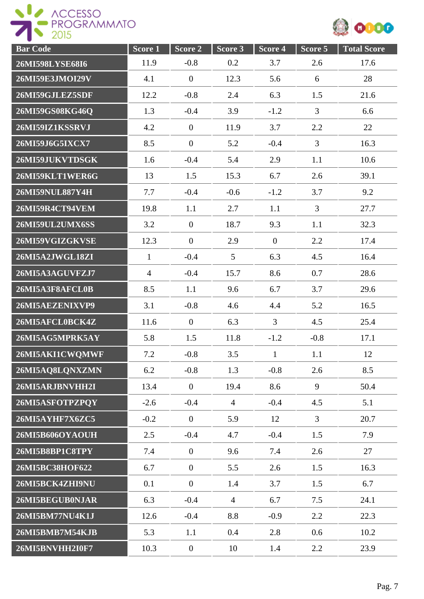

| <b>Bar Code</b>        | Score 1        | Score 2          | Score 3        | Score 4        | Score 5        | <b>Total Score</b> |
|------------------------|----------------|------------------|----------------|----------------|----------------|--------------------|
| 26MI598LYSE68I6        | 11.9           | $-0.8$           | 0.2            | 3.7            | 2.6            | 17.6               |
| 26MI59E3JMOI29V        | 4.1            | $\overline{0}$   | 12.3           | 5.6            | 6              | 28                 |
| 26MI59GJLEZ5SDF        | 12.2           | $-0.8$           | 2.4            | 6.3            | 1.5            | 21.6               |
| 26MI59GS08KG46Q        | 1.3            | $-0.4$           | 3.9            | $-1.2$         | $\overline{3}$ | 6.6                |
| 26MI59IZ1KSSRVJ        | 4.2            | $\overline{0}$   | 11.9           | 3.7            | 2.2            | 22                 |
| 26MI59J6G5IXCX7        | 8.5            | $\overline{0}$   | 5.2            | $-0.4$         | 3              | 16.3               |
| 26MI59JUKVTDSGK        | 1.6            | $-0.4$           | 5.4            | 2.9            | 1.1            | 10.6               |
| 26MI59KLT1WER6G        | 13             | 1.5              | 15.3           | 6.7            | 2.6            | 39.1               |
| 26MI59NUL887Y4H        | 7.7            | $-0.4$           | $-0.6$         | $-1.2$         | 3.7            | 9.2                |
| 26MI59R4CT94VEM        | 19.8           | 1.1              | 2.7            | 1.1            | $\overline{3}$ | 27.7               |
| 26MI59UL2UMX6SS        | 3.2            | $\overline{0}$   | 18.7           | 9.3            | 1.1            | 32.3               |
| 26MI59VGIZGKVSE        | 12.3           | $\overline{0}$   | 2.9            | $\overline{0}$ | 2.2            | 17.4               |
| 26MI5A2JWGL18ZI        | $\mathbf{1}$   | $-0.4$           | 5              | 6.3            | 4.5            | 16.4               |
| 26MI5A3AGUVFZJ7        | $\overline{4}$ | $-0.4$           | 15.7           | 8.6            | 0.7            | 28.6               |
| 26MI5A3F8AFCL0B        | 8.5            | 1.1              | 9.6            | 6.7            | 3.7            | 29.6               |
| 26MI5AEZENIXVP9        | 3.1            | $-0.8$           | 4.6            | 4.4            | 5.2            | 16.5               |
| 26MI5AFCL0BCK4Z        | 11.6           | $\overline{0}$   | 6.3            | $\overline{3}$ | 4.5            | 25.4               |
| 26MI5AG5MPRK5AY        | 5.8            | 1.5              | 11.8           | $-1.2$         | $-0.8$         | 17.1               |
| 26MI5AKI1CWQMWF        | 7.2            | $-0.8$           | 3.5            | $\mathbf{1}$   | 1.1            | 12                 |
| 26MI5AQ8LQNXZMN        | 6.2            | $-0.8$           | 1.3            | $-0.8$         | 2.6            | 8.5                |
| 26MI5ARJBNVHH2I        | 13.4           | $\overline{0}$   | 19.4           | 8.6            | 9              | 50.4               |
| 26MI5ASFOTPZPQY        | $-2.6$         | $-0.4$           | $\overline{4}$ | $-0.4$         | 4.5            | 5.1                |
| 26MI5AYHF7X6ZC5        | $-0.2$         | $\boldsymbol{0}$ | 5.9            | 12             | $\overline{3}$ | 20.7               |
| <b>26MI5B606OYAOUH</b> | 2.5            | $-0.4$           | 4.7            | $-0.4$         | 1.5            | 7.9                |
| 26MI5B8BP1C8TPY        | 7.4            | $\overline{0}$   | 9.6            | 7.4            | 2.6            | 27                 |
| 26MI5BC38HOF622        | 6.7            | $\overline{0}$   | 5.5            | 2.6            | 1.5            | 16.3               |
| 26MI5BCK4ZHI9NU        | 0.1            | $\mathbf{0}$     | 1.4            | 3.7            | 1.5            | 6.7                |
| 26MI5BEGUB0NJAR        | 6.3            | $-0.4$           | $\overline{4}$ | 6.7            | 7.5            | 24.1               |
| 26MI5BM77NU4K1J        | 12.6           | $-0.4$           | 8.8            | $-0.9$         | 2.2            | 22.3               |
| 26MI5BMB7M54KJB        | 5.3            | 1.1              | 0.4            | 2.8            | 0.6            | 10.2               |
| <b>26MI5BNVHH2I0F7</b> | 10.3           | $\boldsymbol{0}$ | 10             | 1.4            | 2.2            | 23.9               |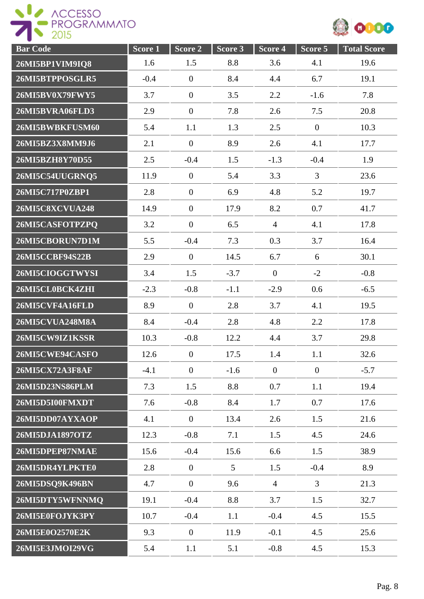

| <b>Bar Code</b>        | Score 1 | Score 2          | Score 3 | Score 4        | Score 5        | <b>Total Score</b> |
|------------------------|---------|------------------|---------|----------------|----------------|--------------------|
| 26MI5BP1VIM9IQ8        | 1.6     | 1.5              | 8.8     | 3.6            | 4.1            | 19.6               |
| 26MI5BTPPOSGLR5        | $-0.4$  | $\overline{0}$   | 8.4     | 4.4            | 6.7            | 19.1               |
| 26MI5BV0X79FWY5        | 3.7     | $\boldsymbol{0}$ | 3.5     | 2.2            | $-1.6$         | 7.8                |
| 26MI5BVRA06FLD3        | 2.9     | $\boldsymbol{0}$ | 7.8     | 2.6            | 7.5            | 20.8               |
| 26MI5BWBKFUSM60        | 5.4     | 1.1              | 1.3     | 2.5            | $\mathbf{0}$   | 10.3               |
| 26MI5BZ3X8MM9J6        | 2.1     | $\overline{0}$   | 8.9     | 2.6            | 4.1            | 17.7               |
| 26MI5BZH8Y70D55        | 2.5     | $-0.4$           | 1.5     | $-1.3$         | $-0.4$         | 1.9                |
| 26MI5C54UUGRNQ5        | 11.9    | $\overline{0}$   | 5.4     | 3.3            | $\overline{3}$ | 23.6               |
| 26MI5C717P0ZBP1        | 2.8     | $\overline{0}$   | 6.9     | 4.8            | 5.2            | 19.7               |
| <b>26MI5C8XCVUA248</b> | 14.9    | $\overline{0}$   | 17.9    | 8.2            | 0.7            | 41.7               |
| 26MI5CASFOTPZPQ        | 3.2     | $\overline{0}$   | 6.5     | $\overline{4}$ | 4.1            | 17.8               |
| 26MI5CBORUN7D1M        | 5.5     | $-0.4$           | 7.3     | 0.3            | 3.7            | 16.4               |
| 26MI5CCBF94S22B        | 2.9     | $\boldsymbol{0}$ | 14.5    | 6.7            | 6              | 30.1               |
| 26MI5CIOGGTWYSI        | 3.4     | 1.5              | $-3.7$  | $\mathbf{0}$   | $-2$           | $-0.8$             |
| 26MI5CL0BCK4ZHI        | $-2.3$  | $-0.8$           | $-1.1$  | $-2.9$         | 0.6            | $-6.5$             |
| 26MI5CVF4A16FLD        | 8.9     | $\overline{0}$   | 2.8     | 3.7            | 4.1            | 19.5               |
| <b>26MI5CVUA248M8A</b> | 8.4     | $-0.4$           | 2.8     | 4.8            | 2.2            | 17.8               |
| 26MI5CW9IZ1KSSR        | 10.3    | $-0.8$           | 12.2    | 4.4            | 3.7            | 29.8               |
| 26MI5CWE94CASFO        | 12.6    | $\boldsymbol{0}$ | 17.5    | 1.4            | 1.1            | 32.6               |
| 26MI5CX72A3F8AF        | $-4.1$  | $\overline{0}$   | $-1.6$  | $\mathbf{0}$   | $\overline{0}$ | $-5.7$             |
| 26MI5D23NS86PLM        | 7.3     | 1.5              | 8.8     | 0.7            | 1.1            | 19.4               |
| 26MI5D5I00FMXDT        | 7.6     | $-0.8$           | 8.4     | 1.7            | 0.7            | 17.6               |
| 26MI5DD07AYXAOP        | 4.1     | $\mathbf{0}$     | 13.4    | 2.6            | 1.5            | 21.6               |
| 26MI5DJA1897OTZ        | 12.3    | $-0.8$           | 7.1     | 1.5            | 4.5            | 24.6               |
| 26MI5DPEP87NMAE        | 15.6    | $-0.4$           | 15.6    | 6.6            | 1.5            | 38.9               |
| 26MI5DR4YLPKTE0        | 2.8     | $\mathbf{0}$     | 5       | 1.5            | $-0.4$         | 8.9                |
| 26MI5DSQ9K496BN        | 4.7     | $\mathbf{0}$     | 9.6     | $\overline{4}$ | $\overline{3}$ | 21.3               |
| 26MI5DTY5WFNNMQ        | 19.1    | $-0.4$           | 8.8     | 3.7            | 1.5            | 32.7               |
| 26MI5E0FOJYK3PY        | 10.7    | $-0.4$           | 1.1     | $-0.4$         | 4.5            | 15.5               |
| 26MI5E0O2570E2K        | 9.3     | $\boldsymbol{0}$ | 11.9    | $-0.1$         | 4.5            | 25.6               |
| 26MI5E3JMOI29VG        | 5.4     | 1.1              | 5.1     | $-0.8$         | 4.5            | 15.3               |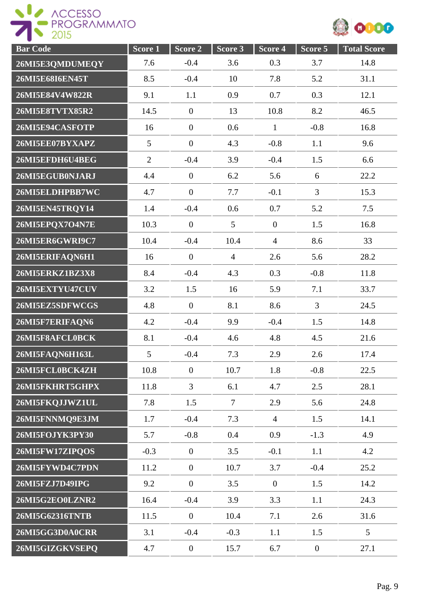



| <b>Bar Code</b>        | Score <sub>1</sub> | Score 2          | Score 3         | Score 4        | Score 5          | <b>Total Score</b> |
|------------------------|--------------------|------------------|-----------------|----------------|------------------|--------------------|
| 26MI5E3QMDUMEQY        | 7.6                | $-0.4$           | 3.6             | 0.3            | 3.7              | 14.8               |
| 26MI5E68I6EN45T        | 8.5                | $-0.4$           | 10              | 7.8            | 5.2              | 31.1               |
| 26MI5E84V4W822R        | 9.1                | 1.1              | 0.9             | 0.7            | 0.3              | 12.1               |
| 26MI5E8TVTX85R2        | 14.5               | $\boldsymbol{0}$ | 13              | 10.8           | 8.2              | 46.5               |
| 26MI5E94CASFOTP        | 16                 | $\boldsymbol{0}$ | 0.6             | $\mathbf{1}$   | $-0.8$           | 16.8               |
| 26MI5EE07BYXAPZ        | 5                  | $\boldsymbol{0}$ | 4.3             | $-0.8$         | 1.1              | 9.6                |
| 26MI5EFDH6U4BEG        | $\overline{2}$     | $-0.4$           | 3.9             | $-0.4$         | 1.5              | 6.6                |
| 26MI5EGUB0NJARJ        | 4.4                | $\boldsymbol{0}$ | 6.2             | 5.6            | 6                | 22.2               |
| 26MI5ELDHPBB7WC        | 4.7                | $\overline{0}$   | 7.7             | $-0.1$         | $\overline{3}$   | 15.3               |
| 26MI5EN45TRQY14        | 1.4                | $-0.4$           | 0.6             | 0.7            | 5.2              | 7.5                |
| 26MI5EPQX7O4N7E        | 10.3               | $\boldsymbol{0}$ | $5\overline{)}$ | $\mathbf{0}$   | 1.5              | 16.8               |
| 26MI5ER6GWRI9C7        | 10.4               | $-0.4$           | 10.4            | $\overline{4}$ | 8.6              | 33                 |
| 26MI5ERIFAQN6H1        | 16                 | $\overline{0}$   | $\overline{4}$  | 2.6            | 5.6              | 28.2               |
| <b>26MI5ERKZ1BZ3X8</b> | 8.4                | $-0.4$           | 4.3             | 0.3            | $-0.8$           | 11.8               |
| 26MI5EXTYU47CUV        | 3.2                | 1.5              | 16              | 5.9            | 7.1              | 33.7               |
| 26MI5EZ5SDFWCGS        | 4.8                | $\overline{0}$   | 8.1             | 8.6            | $\overline{3}$   | 24.5               |
| 26MI5F7ERIFAQN6        | 4.2                | $-0.4$           | 9.9             | $-0.4$         | 1.5              | 14.8               |
| 26MI5F8AFCL0BCK        | 8.1                | $-0.4$           | 4.6             | 4.8            | 4.5              | 21.6               |
| 26MI5FAQN6H163L        | 5                  | $-0.4$           | 7.3             | 2.9            | 2.6              | 17.4               |
| 26MI5FCL0BCK4ZH        | 10.8               | $\boldsymbol{0}$ | 10.7            | 1.8            | $-0.8$           | 22.5               |
| 26MI5FKHRT5GHPX        | 11.8               | $\overline{3}$   | 6.1             | 4.7            | 2.5              | 28.1               |
| 26MI5FKQJJWZ1UL        | 7.8                | 1.5              | $\tau$          | 2.9            | 5.6              | 24.8               |
| 26MI5FNNMQ9E3JM        | 1.7                | $-0.4$           | 7.3             | $\overline{4}$ | 1.5              | 14.1               |
| 26MI5FOJYK3PY30        | 5.7                | $-0.8$           | 0.4             | 0.9            | $-1.3$           | 4.9                |
| 26MI5FW17ZIPQOS        | $-0.3$             | $\overline{0}$   | 3.5             | $-0.1$         | 1.1              | 4.2                |
| 26MI5FYWD4C7PDN        | 11.2               | $\overline{0}$   | 10.7            | 3.7            | $-0.4$           | 25.2               |
| 26MI5FZJ7D49IPG        | 9.2                | $\boldsymbol{0}$ | 3.5             | $\overline{0}$ | 1.5              | 14.2               |
| 26MI5G2EO0LZNR2        | 16.4               | $-0.4$           | 3.9             | 3.3            | 1.1              | 24.3               |
| 26MI5G62316TNTB        | 11.5               | $\overline{0}$   | 10.4            | 7.1            | 2.6              | 31.6               |
| 26MI5GG3D0A0CRR        | 3.1                | $-0.4$           | $-0.3$          | 1.1            | 1.5              | 5                  |
| 26MI5GIZGKVSEPQ        | 4.7                | $\boldsymbol{0}$ | 15.7            | 6.7            | $\boldsymbol{0}$ | 27.1               |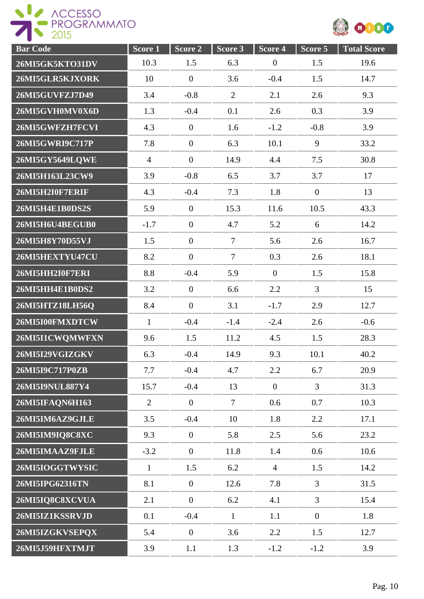ROGESSO



| <b>Bar Code</b> | Score 1        | Score 2          | Score 3        | Score 4        | Score 5          | <b>Total Score</b> |
|-----------------|----------------|------------------|----------------|----------------|------------------|--------------------|
| 26MI5GK5KTO31DV | 10.3           | 1.5              | 6.3            | $\overline{0}$ | 1.5              | 19.6               |
| 26MI5GLR5KJXORK | 10             | $\overline{0}$   | 3.6            | $-0.4$         | 1.5              | 14.7               |
| 26MI5GUVFZJ7D49 | 3.4            | $-0.8$           | $\overline{2}$ | 2.1            | 2.6              | 9.3                |
| 26MI5GVH0MV0X6D | 1.3            | $-0.4$           | 0.1            | 2.6            | 0.3              | 3.9                |
| 26MI5GWFZH7FCVI | 4.3            | $\boldsymbol{0}$ | 1.6            | $-1.2$         | $-0.8$           | 3.9                |
| 26MI5GWRI9C717P | 7.8            | $\overline{0}$   | 6.3            | 10.1           | 9                | 33.2               |
| 26MI5GY5649LQWE | $\overline{4}$ | $\overline{0}$   | 14.9           | 4.4            | 7.5              | 30.8               |
| 26MI5H163L23CW9 | 3.9            | $-0.8$           | 6.5            | 3.7            | 3.7              | 17                 |
| 26MI5H2I0F7ERIF | 4.3            | $-0.4$           | 7.3            | 1.8            | $\mathbf{0}$     | 13                 |
| 26MI5H4E1B0DS2S | 5.9            | $\mathbf{0}$     | 15.3           | 11.6           | 10.5             | 43.3               |
| 26MI5H6U4BEGUB0 | $-1.7$         | $\overline{0}$   | 4.7            | 5.2            | 6                | 14.2               |
| 26MI5H8Y70D55VJ | 1.5            | $\boldsymbol{0}$ | $\overline{7}$ | 5.6            | 2.6              | 16.7               |
| 26MI5HEXTYU47CU | 8.2            | $\overline{0}$   | $\overline{7}$ | 0.3            | 2.6              | 18.1               |
| 26MI5HH2I0F7ERI | 8.8            | $-0.4$           | 5.9            | $\mathbf{0}$   | 1.5              | 15.8               |
| 26MI5HH4E1B0DS2 | 3.2            | $\boldsymbol{0}$ | 6.6            | 2.2            | $\overline{3}$   | 15                 |
| 26MI5HTZ18LH56Q | 8.4            | $\overline{0}$   | 3.1            | $-1.7$         | 2.9              | 12.7               |
| 26MI5I00FMXDTCW | $\mathbf{1}$   | $-0.4$           | $-1.4$         | $-2.4$         | 2.6              | $-0.6$             |
| 26MI5I1CWQMWFXN | 9.6            | 1.5              | 11.2           | 4.5            | 1.5              | 28.3               |
| 26MI5I29VGIZGKV | 6.3            | $-0.4$           | 14.9           | 9.3            | 10.1             | 40.2               |
| 26MI5I9C717P0ZB | 7.7            | $-0.4$           | 4.7            | 2.2            | 6.7              | 20.9               |
| 26MI5I9NUL887Y4 | 15.7           | $-0.4$           | 13             | $\overline{0}$ | $\overline{3}$   | 31.3               |
| 26MI5IFAQN6H163 | $\overline{2}$ | $\mathbf{0}$     | $\tau$         | 0.6            | 0.7              | 10.3               |
| 26MI5IM6AZ9GJLE | 3.5            | $-0.4$           | 10             | 1.8            | 2.2              | 17.1               |
| 26MI5IM9IQ8C8XC | 9.3            | $\mathbf{0}$     | 5.8            | 2.5            | 5.6              | 23.2               |
| 26MI5IMAAZ9FJLE | $-3.2$         | $\mathbf{0}$     | 11.8           | 1.4            | 0.6              | 10.6               |
| 26MI5IOGGTWYSIC | $\mathbf{1}$   | 1.5              | 6.2            | $\overline{4}$ | 1.5              | 14.2               |
| 26MI5IPG62316TN | 8.1            | $\boldsymbol{0}$ | 12.6           | 7.8            | $\overline{3}$   | 31.5               |
| 26MI5IQ8C8XCVUA | 2.1            | $\boldsymbol{0}$ | 6.2            | 4.1            | $\overline{3}$   | 15.4               |
| 26MI5IZ1KSSRVJD | 0.1            | $-0.4$           | $\mathbf{1}$   | 1.1            | $\boldsymbol{0}$ | 1.8                |
| 26MI5IZGKVSEPQX | 5.4            | $\boldsymbol{0}$ | 3.6            | 2.2            | 1.5              | 12.7               |
| 26MI5J59HFXTMJT | 3.9            | 1.1              | 1.3            | $-1.2$         | $-1.2$           | 3.9                |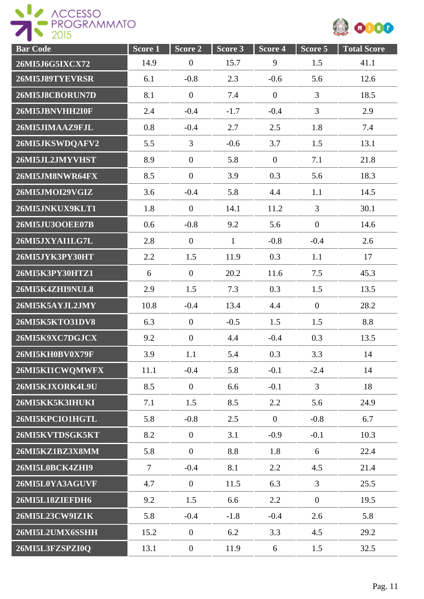

| <b>Bar Code</b> | Score 1 | Score <sub>2</sub> | Score 3      | Score 4        | Score 5        | <b>Total Score</b> |
|-----------------|---------|--------------------|--------------|----------------|----------------|--------------------|
| 26MI5J6G5IXCX72 | 14.9    | $\boldsymbol{0}$   | 15.7         | 9              | 1.5            | 41.1               |
| 26MI5J89TYEVRSR | 6.1     | $-0.8$             | 2.3          | $-0.6$         | 5.6            | 12.6               |
| 26MI5J8CBORUN7D | 8.1     | $\boldsymbol{0}$   | 7.4          | $\overline{0}$ | 3              | 18.5               |
| 26MI5JBNVHH2I0F | 2.4     | $-0.4$             | $-1.7$       | $-0.4$         | $\overline{3}$ | 2.9                |
| 26MI5JIMAAZ9FJL | 0.8     | $-0.4$             | 2.7          | 2.5            | 1.8            | 7.4                |
| 26MI5JKSWDQAFV2 | 5.5     | 3                  | $-0.6$       | 3.7            | 1.5            | 13.1               |
| 26MI5JL2JMYVHST | 8.9     | $\overline{0}$     | 5.8          | $\overline{0}$ | 7.1            | 21.8               |
| 26MI5JM8NWR64FX | 8.5     | $\boldsymbol{0}$   | 3.9          | 0.3            | 5.6            | 18.3               |
| 26MI5JMOI29VGIZ | 3.6     | $-0.4$             | 5.8          | 4.4            | 1.1            | 14.5               |
| 26MI5JNKUX9KLT1 | 1.8     | $\mathbf{0}$       | 14.1         | 11.2           | $\overline{3}$ | 30.1               |
| 26MI5JU3OOEE07B | 0.6     | $-0.8$             | 9.2          | 5.6            | $\mathbf{0}$   | 14.6               |
| 26MI5JXYAI1LG7L | 2.8     | $\mathbf{0}$       | $\mathbf{1}$ | $-0.8$         | $-0.4$         | 2.6                |
| 26MI5JYK3PY30HT | 2.2     | 1.5                | 11.9         | 0.3            | 1.1            | 17                 |
| 26MI5K3PY30HTZ1 | 6       | $\boldsymbol{0}$   | 20.2         | 11.6           | 7.5            | 45.3               |
| 26MI5K4ZHI9NUL8 | 2.9     | 1.5                | 7.3          | 0.3            | 1.5            | 13.5               |
| 26MI5K5AYJL2JMY | 10.8    | $-0.4$             | 13.4         | 4.4            | $\overline{0}$ | 28.2               |
| 26MI5K5KTO31DV8 | 6.3     | $\mathbf{0}$       | $-0.5$       | 1.5            | 1.5            | 8.8                |
| 26MI5K9XC7DGJCX | 9.2     | $\mathbf{0}$       | 4.4          | $-0.4$         | 0.3            | 13.5               |
| 26MI5KH0BV0X79F | 3.9     | 1.1                | 5.4          | 0.3            | 3.3            | 14                 |
| 26MI5KI1CWQMWFX | 11.1    | $-0.4$             | 5.8          | $-0.1$         | $-2.4$         | 14                 |
| 26MI5KJXORK4L9U | 8.5     | $\mathbf{0}$       | 6.6          | $-0.1$         | $\overline{3}$ | 18                 |
| 26MI5KK5K3IHUKI | 7.1     | 1.5                | 8.5          | 2.2            | 5.6            | 24.9               |
| 26MI5KPCIO1HGTL | 5.8     | $-0.8$             | 2.5          | $\mathbf{0}$   | $-0.8$         | 6.7                |
| 26MI5KVTDSGK5KT | 8.2     | $\mathbf{0}$       | 3.1          | $-0.9$         | $-0.1$         | 10.3               |
| 26MI5KZ1BZ3X8MM | 5.8     | $\overline{0}$     | 8.8          | 1.8            | 6              | 22.4               |
| 26MI5L0BCK4ZHI9 | $\tau$  | $-0.4$             | 8.1          | 2.2            | 4.5            | 21.4               |
| 26MI5L0YA3AGUVF | 4.7     | $\mathbf{0}$       | 11.5         | 6.3            | $\overline{3}$ | 25.5               |
| 26MI5L18ZIEFDH6 | 9.2     | 1.5                | 6.6          | 2.2            | $\mathbf{0}$   | 19.5               |
| 26MI5L23CW9IZ1K | 5.8     | $-0.4$             | $-1.8$       | $-0.4$         | 2.6            | 5.8                |
| 26MI5L2UMX6SSHH | 15.2    | $\overline{0}$     | 6.2          | 3.3            | 4.5            | 29.2               |
| 26MI5L3FZSPZI0Q | 13.1    | $\boldsymbol{0}$   | 11.9         | 6              | 1.5            | 32.5               |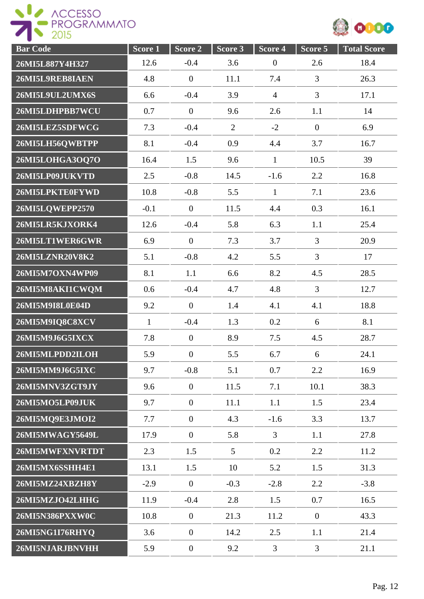ROGESSO



| <b>Bar</b> Code | Score 1      | Score 2          | Score 3         | Score 4        | Score 5          | <b>Total Score</b> |
|-----------------|--------------|------------------|-----------------|----------------|------------------|--------------------|
| 26MI5L887Y4H327 | 12.6         | $-0.4$           | 3.6             | $\theta$       | 2.6              | 18.4               |
| 26MI5L9REB8IAEN | 4.8          | $\boldsymbol{0}$ | 11.1            | 7.4            | $\overline{3}$   | 26.3               |
| 26MI5L9UL2UMX6S | 6.6          | $-0.4$           | 3.9             | $\overline{4}$ | 3                | 17.1               |
| 26MI5LDHPBB7WCU | 0.7          | $\overline{0}$   | 9.6             | 2.6            | 1.1              | 14                 |
| 26MI5LEZ5SDFWCG | 7.3          | $-0.4$           | $\overline{2}$  | $-2$           | $\boldsymbol{0}$ | 6.9                |
| 26MI5LH56QWBTPP | 8.1          | $-0.4$           | 0.9             | 4.4            | 3.7              | 16.7               |
| 26MI5LOHGA3OQ7O | 16.4         | 1.5              | 9.6             | $\mathbf{1}$   | 10.5             | 39                 |
| 26MI5LP09JUKVTD | 2.5          | $-0.8$           | 14.5            | $-1.6$         | 2.2              | 16.8               |
| 26MI5LPKTE0FYWD | 10.8         | $-0.8$           | 5.5             | $\mathbf{1}$   | 7.1              | 23.6               |
| 26MI5LQWEPP2570 | $-0.1$       | $\overline{0}$   | 11.5            | 4.4            | 0.3              | 16.1               |
| 26MI5LR5KJXORK4 | 12.6         | $-0.4$           | 5.8             | 6.3            | 1.1              | 25.4               |
| 26MI5LT1WER6GWR | 6.9          | $\boldsymbol{0}$ | 7.3             | 3.7            | $\overline{3}$   | 20.9               |
| 26MI5LZNR20V8K2 | 5.1          | $-0.8$           | 4.2             | 5.5            | $\overline{3}$   | 17                 |
| 26MI5M7OXN4WP09 | 8.1          | 1.1              | 6.6             | 8.2            | 4.5              | 28.5               |
| 26MI5M8AKI1CWQM | 0.6          | $-0.4$           | 4.7             | 4.8            | 3                | 12.7               |
| 26MI5M9I8L0E04D | 9.2          | $\overline{0}$   | 1.4             | 4.1            | 4.1              | 18.8               |
| 26MI5M9IQ8C8XCV | $\mathbf{1}$ | $-0.4$           | 1.3             | 0.2            | 6                | 8.1                |
| 26MI5M9J6G5IXCX | 7.8          | $\overline{0}$   | 8.9             | 7.5            | 4.5              | 28.7               |
| 26MI5MLPDD2ILOH | 5.9          | $\boldsymbol{0}$ | 5.5             | 6.7            | 6                | 24.1               |
| 26MI5MM9J6G5IXC | 9.7          | $-0.8$           | 5.1             | 0.7            | 2.2              | 16.9               |
| 26MI5MNV3ZGT9JY | 9.6          | $\overline{0}$   | 11.5            | 7.1            | 10.1             | 38.3               |
| 26MI5MO5LP09JUK | 9.7          | $\overline{0}$   | 11.1            | 1.1            | 1.5              | 23.4               |
| 26MI5MQ9E3JMOI2 | 7.7          | $\overline{0}$   | 4.3             | $-1.6$         | 3.3              | 13.7               |
| 26MI5MWAGY5649L | 17.9         | $\overline{0}$   | 5.8             | $\mathfrak{Z}$ | 1.1              | 27.8               |
| 26MI5MWFXNVRTDT | 2.3          | 1.5              | $5\overline{)}$ | 0.2            | 2.2              | 11.2               |
| 26MI5MX6SSHH4E1 | 13.1         | 1.5              | 10              | 5.2            | 1.5              | 31.3               |
| 26MI5MZ24XBZH8Y | $-2.9$       | $\boldsymbol{0}$ | $-0.3$          | $-2.8$         | 2.2              | $-3.8$             |
| 26MI5MZJO42LHHG | 11.9         | $-0.4$           | 2.8             | 1.5            | 0.7              | 16.5               |
| 26MI5N386PXXW0C | 10.8         | $\boldsymbol{0}$ | 21.3            | 11.2           | $\boldsymbol{0}$ | 43.3               |
| 26MI5NG1I76RHYQ | 3.6          | $\overline{0}$   | 14.2            | 2.5            | 1.1              | 21.4               |
| 26MI5NJARJBNVHH | 5.9          | $\boldsymbol{0}$ | 9.2             | $\overline{3}$ | 3                | 21.1               |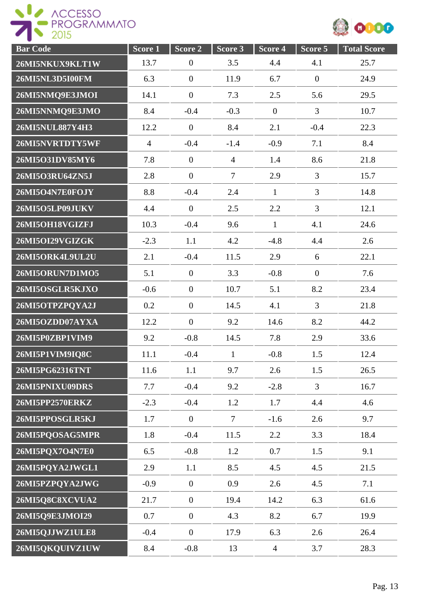



| <b>Bar Code</b> | Score 1        | Score 2          | Score 3        | Score 4        | Score 5        | <b>Total Score</b> |
|-----------------|----------------|------------------|----------------|----------------|----------------|--------------------|
| 26MI5NKUX9KLT1W | 13.7           | $\boldsymbol{0}$ | 3.5            | 4.4            | 4.1            | 25.7               |
| 26MI5NL3D5I00FM | 6.3            | $\boldsymbol{0}$ | 11.9           | 6.7            | $\mathbf{0}$   | 24.9               |
| 26MI5NMQ9E3JMOI | 14.1           | $\boldsymbol{0}$ | 7.3            | 2.5            | 5.6            | 29.5               |
| 26MI5NNMQ9E3JMO | 8.4            | $-0.4$           | $-0.3$         | $\overline{0}$ | $\overline{3}$ | 10.7               |
| 26MI5NUL887Y4H3 | 12.2           | $\boldsymbol{0}$ | 8.4            | 2.1            | $-0.4$         | 22.3               |
| 26MI5NVRTDTY5WF | $\overline{4}$ | $-0.4$           | $-1.4$         | $-0.9$         | 7.1            | 8.4                |
| 26MI5O31DV85MY6 | 7.8            | $\boldsymbol{0}$ | $\overline{4}$ | 1.4            | 8.6            | 21.8               |
| 26MI5O3RU64ZN5J | 2.8            | $\boldsymbol{0}$ | $\overline{7}$ | 2.9            | 3              | 15.7               |
| 26MI5O4N7E0FOJY | 8.8            | $-0.4$           | 2.4            | $\mathbf{1}$   | $\overline{3}$ | 14.8               |
| 26MI5O5LP09JUKV | 4.4            | $\mathbf{0}$     | 2.5            | 2.2            | $\overline{3}$ | 12.1               |
| 26MI5OH18VGIZFJ | 10.3           | $-0.4$           | 9.6            | $\mathbf{1}$   | 4.1            | 24.6               |
| 26MI5OI29VGIZGK | $-2.3$         | 1.1              | 4.2            | $-4.8$         | 4.4            | 2.6                |
| 26MI5ORK4L9UL2U | 2.1            | $-0.4$           | 11.5           | 2.9            | 6              | 22.1               |
| 26MI5ORUN7D1MO5 | 5.1            | $\boldsymbol{0}$ | 3.3            | $-0.8$         | $\mathbf{0}$   | 7.6                |
| 26MI5OSGLR5KJXO | $-0.6$         | $\boldsymbol{0}$ | 10.7           | 5.1            | 8.2            | 23.4               |
| 26MI5OTPZPQYA2J | $0.2\,$        | $\overline{0}$   | 14.5           | 4.1            | $\overline{3}$ | 21.8               |
| 26MI5OZDD07AYXA | 12.2           | $\boldsymbol{0}$ | 9.2            | 14.6           | 8.2            | 44.2               |
| 26MI5P0ZBP1VIM9 | 9.2            | $-0.8$           | 14.5           | 7.8            | 2.9            | 33.6               |
| 26MI5P1VIM9IQ8C | 11.1           | $-0.4$           | $\mathbf{1}$   | $-0.8$         | 1.5            | 12.4               |
| 26MI5PG62316TNT | 11.6           | 1.1              | 9.7            | 2.6            | 1.5            | 26.5               |
| 26MI5PNIXU09DRS | 7.7            | $-0.4$           | 9.2            | $-2.8$         | $\overline{3}$ | 16.7               |
| 26MI5PP2570ERKZ | $-2.3$         | $-0.4$           | 1.2            | 1.7            | 4.4            | 4.6                |
| 26MI5PPOSGLR5KJ | 1.7            | $\overline{0}$   | $\overline{7}$ | $-1.6$         | 2.6            | 9.7                |
| 26MI5PQOSAG5MPR | 1.8            | $-0.4$           | 11.5           | 2.2            | 3.3            | 18.4               |
| 26MI5PQX7O4N7E0 | 6.5            | $-0.8$           | 1.2            | 0.7            | 1.5            | 9.1                |
| 26MI5PQYA2JWGL1 | 2.9            | 1.1              | 8.5            | 4.5            | 4.5            | 21.5               |
| 26MI5PZPQYA2JWG | $-0.9$         | $\overline{0}$   | 0.9            | 2.6            | 4.5            | 7.1                |
| 26MI5Q8C8XCVUA2 | 21.7           | $\boldsymbol{0}$ | 19.4           | 14.2           | 6.3            | 61.6               |
| 26MI5Q9E3JMOI29 | 0.7            | $\boldsymbol{0}$ | 4.3            | 8.2            | 6.7            | 19.9               |
| 26MI5QJJWZ1ULE8 | $-0.4$         | $\boldsymbol{0}$ | 17.9           | 6.3            | 2.6            | 26.4               |
| 26MI5QKQUIVZ1UW | 8.4            | $-0.8$           | 13             | $\overline{4}$ | 3.7            | 28.3               |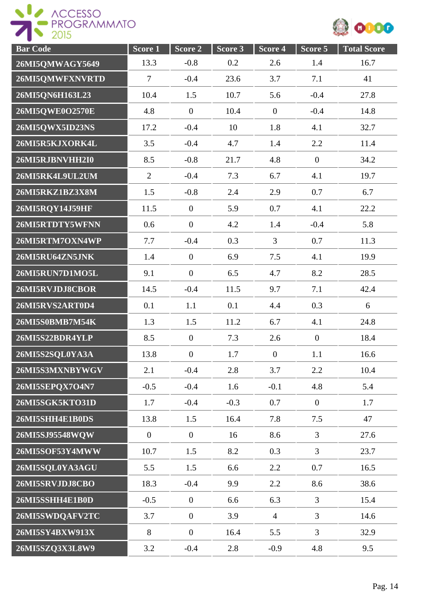



| <b>Bar Code</b> | $Score\overline{1}$ | Score 2          | Score 3 | Score 4        | $Score$ 5      | <b>Total Score</b> |
|-----------------|---------------------|------------------|---------|----------------|----------------|--------------------|
| 26MI5QMWAGY5649 | 13.3                | $-0.8$           | 0.2     | 2.6            | 1.4            | 16.7               |
| 26MI5QMWFXNVRTD | $\boldsymbol{7}$    | $-0.4$           | 23.6    | 3.7            | 7.1            | 41                 |
| 26MI5ON6H163L23 | 10.4                | 1.5              | 10.7    | 5.6            | $-0.4$         | 27.8               |
| 26MI5QWE0O2570E | 4.8                 | $\boldsymbol{0}$ | 10.4    | $\mathbf{0}$   | $-0.4$         | 14.8               |
| 26MI5QWX5ID23NS | 17.2                | $-0.4$           | 10      | 1.8            | 4.1            | 32.7               |
| 26MI5R5KJXORK4L | 3.5                 | $-0.4$           | 4.7     | 1.4            | 2.2            | 11.4               |
| 26MI5RJBNVHH2I0 | 8.5                 | $-0.8$           | 21.7    | 4.8            | $\overline{0}$ | 34.2               |
| 26MI5RK4L9UL2UM | $\overline{2}$      | $-0.4$           | 7.3     | 6.7            | 4.1            | 19.7               |
| 26MI5RKZ1BZ3X8M | 1.5                 | $-0.8$           | 2.4     | 2.9            | 0.7            | 6.7                |
| 26MI5RQY14J59HF | 11.5                | $\boldsymbol{0}$ | 5.9     | 0.7            | 4.1            | 22.2               |
| 26MI5RTDTY5WFNN | 0.6                 | $\boldsymbol{0}$ | 4.2     | 1.4            | $-0.4$         | 5.8                |
| 26MI5RTM7OXN4WP | 7.7                 | $-0.4$           | 0.3     | $\overline{3}$ | 0.7            | 11.3               |
| 26MI5RU64ZN5JNK | 1.4                 | $\boldsymbol{0}$ | 6.9     | 7.5            | 4.1            | 19.9               |
| 26MI5RUN7D1MO5L | 9.1                 | $\boldsymbol{0}$ | 6.5     | 4.7            | 8.2            | 28.5               |
| 26MI5RVJDJ8CBOR | 14.5                | $-0.4$           | 11.5    | 9.7            | 7.1            | 42.4               |
| 26MI5RVS2ART0D4 | 0.1                 | 1.1              | 0.1     | 4.4            | 0.3            | 6                  |
| 26MI5S0BMB7M54K | 1.3                 | 1.5              | 11.2    | 6.7            | 4.1            | 24.8               |
| 26MI5S22BDR4YLP | 8.5                 | $\overline{0}$   | 7.3     | 2.6            | $\overline{0}$ | 18.4               |
| 26MI5S2SQL0YA3A | 13.8                | $\boldsymbol{0}$ | 1.7     | $\overline{0}$ | 1.1            | 16.6               |
| 26MI5S3MXNBYWGV | 2.1                 | $-0.4$           | 2.8     | 3.7            | 2.2            | 10.4               |
| 26MI5SEPQX7O4N7 | $-0.5$              | $-0.4$           | 1.6     | $-0.1$         | 4.8            | 5.4                |
| 26MI5SGK5KTO31D | 1.7                 | $-0.4$           | $-0.3$  | 0.7            | $\overline{0}$ | 1.7                |
| 26MI5SHH4E1B0DS | 13.8                | 1.5              | 16.4    | 7.8            | 7.5            | 47                 |
| 26MI5SJ95548WQW | $\mathbf{0}$        | $\overline{0}$   | 16      | 8.6            | $\overline{3}$ | 27.6               |
| 26MI5SOF53Y4MWW | 10.7                | 1.5              | 8.2     | 0.3            | $\overline{3}$ | 23.7               |
| 26MI5SQL0YA3AGU | 5.5                 | 1.5              | 6.6     | 2.2            | 0.7            | 16.5               |
| 26MI5SRVJDJ8CBO | 18.3                | $-0.4$           | 9.9     | 2.2            | 8.6            | 38.6               |
| 26MI5SSHH4E1B0D | $-0.5$              | $\boldsymbol{0}$ | 6.6     | 6.3            | $\overline{3}$ | 15.4               |
| 26MI5SWDQAFV2TC | 3.7                 | $\boldsymbol{0}$ | 3.9     | $\overline{4}$ | 3              | 14.6               |
| 26MI5SY4BXW913X | 8                   | $\boldsymbol{0}$ | 16.4    | 5.5            | $\overline{3}$ | 32.9               |
| 26MI5SZQ3X3L8W9 | 3.2                 | $-0.4$           | 2.8     | $-0.9$         | 4.8            | 9.5                |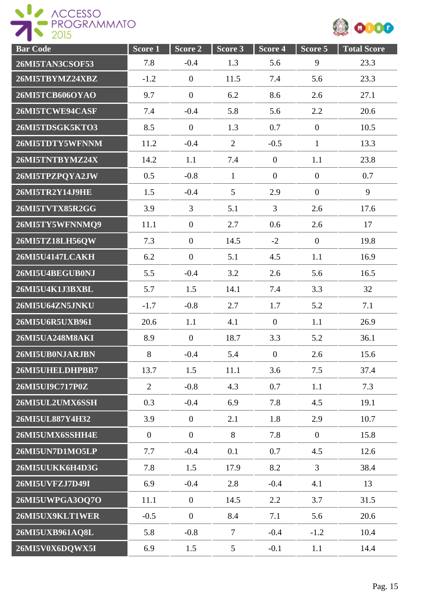ROGESSO



| <b>Bar Code</b>        | Score 1        | Score 2          | Score 3        | Score 4          | Score 5          | <b>Total Score</b> |
|------------------------|----------------|------------------|----------------|------------------|------------------|--------------------|
| 26MI5TAN3CSOF53        | 7.8            | $-0.4$           | 1.3            | 5.6              | 9                | 23.3               |
| 26MI5TBYMZ24XBZ        | $-1.2$         | $\overline{0}$   | 11.5           | 7.4              | 5.6              | 23.3               |
| 26MI5TCB606OYAO        | 9.7            | $\boldsymbol{0}$ | 6.2            | 8.6              | 2.6              | 27.1               |
| 26MI5TCWE94CASF        | 7.4            | $-0.4$           | 5.8            | 5.6              | 2.2              | 20.6               |
| 26MI5TDSGK5KTO3        | 8.5            | $\overline{0}$   | 1.3            | 0.7              | $\overline{0}$   | 10.5               |
| 26MI5TDTY5WFNNM        | 11.2           | $-0.4$           | $\overline{2}$ | $-0.5$           | $\mathbf{1}$     | 13.3               |
| 26MI5TNTBYMZ24X        | 14.2           | 1.1              | 7.4            | $\mathbf{0}$     | 1.1              | 23.8               |
| 26MI5TPZPQYA2JW        | 0.5            | $-0.8$           | $\mathbf{1}$   | $\mathbf{0}$     | $\boldsymbol{0}$ | 0.7                |
| 26MI5TR2Y14J9HE        | 1.5            | $-0.4$           | 5              | 2.9              | $\overline{0}$   | 9                  |
| 26MI5TVTX85R2GG        | 3.9            | 3                | 5.1            | $\overline{3}$   | 2.6              | 17.6               |
| 26MI5TY5WFNNMQ9        | 11.1           | $\overline{0}$   | 2.7            | 0.6              | 2.6              | 17                 |
| 26MI5TZ18LH56QW        | 7.3            | $\boldsymbol{0}$ | 14.5           | $-2$             | $\mathbf{0}$     | 19.8               |
| <b>26MI5U4147LCAKH</b> | 6.2            | $\boldsymbol{0}$ | 5.1            | 4.5              | 1.1              | 16.9               |
| 26MI5U4BEGUB0NJ        | 5.5            | $-0.4$           | 3.2            | 2.6              | 5.6              | 16.5               |
| 26MI5U4K1J3BXBL        | 5.7            | 1.5              | 14.1           | 7.4              | 3.3              | 32                 |
| 26MI5U64ZN5JNKU        | $-1.7$         | $-0.8$           | 2.7            | 1.7              | 5.2              | 7.1                |
| 26MI5U6R5UXB961        | 20.6           | 1.1              | 4.1            | $\overline{0}$   | 1.1              | 26.9               |
| 26MI5UA248M8AKI        | 8.9            | $\overline{0}$   | 18.7           | 3.3              | 5.2              | 36.1               |
| 26MI5UB0NJARJBN        | 8              | $-0.4$           | 5.4            | $\boldsymbol{0}$ | 2.6              | 15.6               |
| 26MI5UHELDHPBB7        | 13.7           | 1.5              | 11.1           | 3.6              | 7.5              | 37.4               |
| 26MI5UI9C717P0Z        | $\overline{2}$ | $-0.8$           | 4.3            | 0.7              | 1.1              | 7.3                |
| 26MI5UL2UMX6SSH        | 0.3            | $-0.4$           | 6.9            | 7.8              | 4.5              | 19.1               |
| 26MI5UL887Y4H32        | 3.9            | $\boldsymbol{0}$ | 2.1            | 1.8              | 2.9              | 10.7               |
| 26MI5UMX6SSHH4E        | $\overline{0}$ | $\boldsymbol{0}$ | 8              | 7.8              | $\mathbf{0}$     | 15.8               |
| 26MI5UN7D1MO5LP        | 7.7            | $-0.4$           | 0.1            | 0.7              | 4.5              | 12.6               |
| 26MI5UUKK6H4D3G        | 7.8            | 1.5              | 17.9           | 8.2              | $\overline{3}$   | 38.4               |
| 26MI5UVFZJ7D49I        | 6.9            | $-0.4$           | 2.8            | $-0.4$           | 4.1              | 13                 |
| 26MI5UWPGA3OQ7O        | 11.1           | $\boldsymbol{0}$ | 14.5           | 2.2              | 3.7              | 31.5               |
| 26MI5UX9KLT1WER        | $-0.5$         | $\boldsymbol{0}$ | 8.4            | 7.1              | 5.6              | 20.6               |
| 26MI5UXB961AQ8L        | 5.8            | $-0.8$           | $\tau$         | $-0.4$           | $-1.2$           | 10.4               |
| 26MI5V0X6DQWX5I        | 6.9            | 1.5              | $\mathfrak{S}$ | $-0.1$           | 1.1              | 14.4               |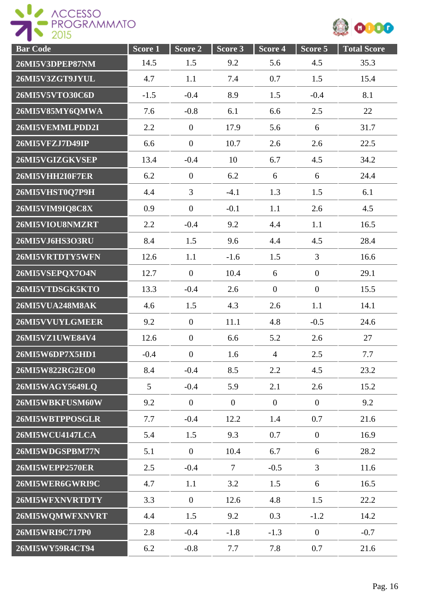



| <b>Bar Code</b>        | Score 1 | Score 2          | Score 3        | Score 4        | Score 5          | <b>Total Score</b> |
|------------------------|---------|------------------|----------------|----------------|------------------|--------------------|
| 26MI5V3DPEP87NM        | 14.5    | 1.5              | 9.2            | 5.6            | 4.5              | 35.3               |
| 26MI5V3ZGT9JYUL        | 4.7     | 1.1              | 7.4            | 0.7            | 1.5              | 15.4               |
| 26MI5V5VTO30C6D        | $-1.5$  | $-0.4$           | 8.9            | 1.5            | $-0.4$           | 8.1                |
| 26MI5V85MY6QMWA        | 7.6     | $-0.8$           | 6.1            | 6.6            | 2.5              | 22                 |
| 26MI5VEMMLPDD2I        | 2.2     | $\boldsymbol{0}$ | 17.9           | 5.6            | 6                | 31.7               |
| 26MI5VFZJ7D49IP        | 6.6     | $\boldsymbol{0}$ | 10.7           | 2.6            | 2.6              | 22.5               |
| 26MI5VGIZGKVSEP        | 13.4    | $-0.4$           | 10             | 6.7            | 4.5              | 34.2               |
| 26MI5VHH2I0F7ER        | 6.2     | $\boldsymbol{0}$ | 6.2            | 6              | 6                | 24.4               |
| 26MI5VHST0Q7P9H        | 4.4     | $\overline{3}$   | $-4.1$         | 1.3            | 1.5              | 6.1                |
| 26MI5VIM9IQ8C8X        | 0.9     | $\mathbf{0}$     | $-0.1$         | 1.1            | 2.6              | 4.5                |
| 26MI5VIOU8NMZRT        | 2.2     | $-0.4$           | 9.2            | 4.4            | 1.1              | 16.5               |
| 26MI5VJ6HS3O3RU        | 8.4     | 1.5              | 9.6            | 4.4            | 4.5              | 28.4               |
| 26MI5VRTDTY5WFN        | 12.6    | 1.1              | $-1.6$         | 1.5            | $\overline{3}$   | 16.6               |
| 26MI5VSEPQX7O4N        | 12.7    | $\boldsymbol{0}$ | 10.4           | 6              | $\boldsymbol{0}$ | 29.1               |
| 26MI5VTDSGK5KTO        | 13.3    | $-0.4$           | 2.6            | $\overline{0}$ | $\mathbf{0}$     | 15.5               |
| <b>26MI5VUA248M8AK</b> | 4.6     | 1.5              | 4.3            | 2.6            | 1.1              | 14.1               |
| 26MI5VVUYLGMEER        | 9.2     | $\overline{0}$   | 11.1           | 4.8            | $-0.5$           | 24.6               |
| 26MI5VZ1UWE84V4        | 12.6    | $\boldsymbol{0}$ | 6.6            | 5.2            | 2.6              | 27                 |
| 26MI5W6DP7X5HD1        | $-0.4$  | $\boldsymbol{0}$ | 1.6            | $\overline{4}$ | 2.5              | 7.7                |
| 26MI5W822RG2EO0        | 8.4     | $-0.4$           | 8.5            | 2.2            | 4.5              | 23.2               |
| 26MI5WAGY5649LQ        | 5       | $-0.4$           | 5.9            | 2.1            | 2.6              | 15.2               |
| 26MI5WBKFUSM60W        | 9.2     | $\overline{0}$   | $\overline{0}$ | $\overline{0}$ | $\overline{0}$   | 9.2                |
| 26MI5WBTPPOSGLR        | 7.7     | $-0.4$           | 12.2           | 1.4            | 0.7              | 21.6               |
| <b>26MI5WCU4147LCA</b> | 5.4     | 1.5              | 9.3            | 0.7            | $\mathbf{0}$     | 16.9               |
| 26MI5WDGSPBM77N        | 5.1     | $\mathbf{0}$     | 10.4           | 6.7            | 6                | 28.2               |
| <b>26MI5WEPP2570ER</b> | 2.5     | $-0.4$           | $\tau$         | $-0.5$         | $\overline{3}$   | 11.6               |
| 26MI5WER6GWRI9C        | 4.7     | 1.1              | 3.2            | 1.5            | 6                | 16.5               |
| 26MI5WFXNVRTDTY        | 3.3     | $\mathbf{0}$     | 12.6           | 4.8            | 1.5              | 22.2               |
| 26MI5WQMWFXNVRT        | 4.4     | 1.5              | 9.2            | 0.3            | $-1.2$           | 14.2               |
| 26MI5WRI9C717P0        | 2.8     | $-0.4$           | $-1.8$         | $-1.3$         | $\boldsymbol{0}$ | $-0.7$             |
| 26MI5WY59R4CT94        | 6.2     | $-0.8$           | 7.7            | 7.8            | 0.7              | 21.6               |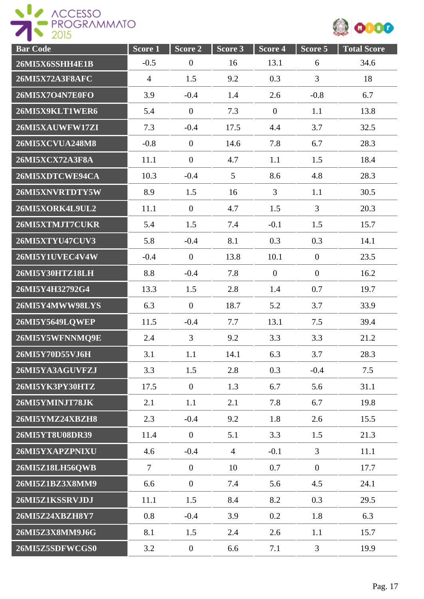

| <b>Bar Code</b>        | Score <sub>1</sub> | Score 2          | Score 3        | Score 4        | Score 5          | <b>Total Score</b> |
|------------------------|--------------------|------------------|----------------|----------------|------------------|--------------------|
| 26MI5X6SSHH4E1B        | $-0.5$             | $\boldsymbol{0}$ | 16             | 13.1           | 6                | 34.6               |
| <b>26MI5X72A3F8AFC</b> | $\overline{4}$     | 1.5              | 9.2            | 0.3            | 3                | 18                 |
| 26MI5X7O4N7E0FO        | 3.9                | $-0.4$           | 1.4            | 2.6            | $-0.8$           | 6.7                |
| 26MI5X9KLT1WER6        | 5.4                | $\boldsymbol{0}$ | 7.3            | $\overline{0}$ | 1.1              | 13.8               |
| 26MI5XAUWFW17ZI        | 7.3                | $-0.4$           | 17.5           | 4.4            | 3.7              | 32.5               |
| <b>26MI5XCVUA248M8</b> | $-0.8$             | $\overline{0}$   | 14.6           | 7.8            | 6.7              | 28.3               |
| 26MI5XCX72A3F8A        | 11.1               | $\boldsymbol{0}$ | 4.7            | 1.1            | 1.5              | 18.4               |
| 26MI5XDTCWE94CA        | 10.3               | $-0.4$           | $\overline{5}$ | 8.6            | 4.8              | 28.3               |
| 26MI5XNVRTDTY5W        | 8.9                | 1.5              | 16             | 3              | 1.1              | 30.5               |
| 26MI5XORK4L9UL2        | 11.1               | $\overline{0}$   | 4.7            | 1.5            | $\overline{3}$   | 20.3               |
| 26MI5XTMJT7CUKR        | 5.4                | 1.5              | 7.4            | $-0.1$         | 1.5              | 15.7               |
| <b>26MI5XTYU47CUV3</b> | 5.8                | $-0.4$           | 8.1            | 0.3            | 0.3              | 14.1               |
| 26MI5Y1UVEC4V4W        | $-0.4$             | $\boldsymbol{0}$ | 13.8           | 10.1           | $\boldsymbol{0}$ | 23.5               |
| 26MI5Y30HTZ18LH        | 8.8                | $-0.4$           | 7.8            | $\overline{0}$ | $\boldsymbol{0}$ | 16.2               |
| 26MI5Y4H32792G4        | 13.3               | 1.5              | 2.8            | 1.4            | 0.7              | 19.7               |
| 26MI5Y4MWW98LYS        | 6.3                | $\overline{0}$   | 18.7           | 5.2            | 3.7              | 33.9               |
| 26MI5Y5649LQWEP        | 11.5               | $-0.4$           | 7.7            | 13.1           | 7.5              | 39.4               |
| 26MI5Y5WFNNMQ9E        | 2.4                | $\overline{3}$   | 9.2            | 3.3            | 3.3              | 21.2               |
| 26MI5Y70D55VJ6H        | 3.1                | 1.1              | 14.1           | 6.3            | 3.7              | 28.3               |
| 26MI5YA3AGUVFZJ        | 3.3                | 1.5              | 2.8            | 0.3            | $-0.4$           | 7.5                |
| 26MI5YK3PY30HTZ        | 17.5               | $\mathbf{0}$     | 1.3            | 6.7            | 5.6              | 31.1               |
| 26MI5YMINJT78JK        | 2.1                | 1.1              | 2.1            | 7.8            | 6.7              | 19.8               |
| 26MI5YMZ24XBZH8        | 2.3                | $-0.4$           | 9.2            | 1.8            | 2.6              | 15.5               |
| 26MI5YT8U08DR39        | 11.4               | $\overline{0}$   | 5.1            | 3.3            | 1.5              | 21.3               |
| 26MI5YXAPZPNIXU        | 4.6                | $-0.4$           | $\overline{4}$ | $-0.1$         | $\overline{3}$   | 11.1               |
| 26MI5Z18LH56QWB        | $\overline{7}$     | $\overline{0}$   | 10             | 0.7            | $\overline{0}$   | 17.7               |
| 26MI5Z1BZ3X8MM9        | 6.6                | $\overline{0}$   | 7.4            | 5.6            | 4.5              | 24.1               |
| 26MI5Z1KSSRVJDJ        | 11.1               | 1.5              | 8.4            | 8.2            | 0.3              | 29.5               |
| 26MI5Z24XBZH8Y7        | 0.8                | $-0.4$           | 3.9            | 0.2            | 1.8              | 6.3                |
| 26MI5Z3X8MM9J6G        | 8.1                | 1.5              | 2.4            | 2.6            | 1.1              | 15.7               |
| 26MI5Z5SDFWCGS0        | 3.2                | $\boldsymbol{0}$ | 6.6            | 7.1            | 3                | 19.9               |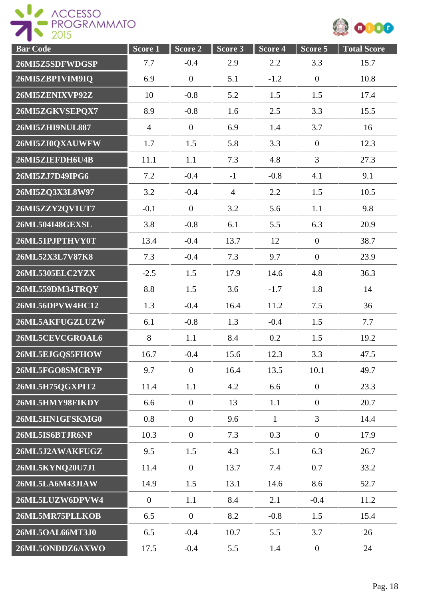



| <b>Bar Code</b> | Score 1        | Score 2          | Score 3        | Score 4      | Score 5          | <b>Total Score</b> |
|-----------------|----------------|------------------|----------------|--------------|------------------|--------------------|
| 26MI5Z5SDFWDGSP | 7.7            | $-0.4$           | 2.9            | 2.2          | 3.3              | 15.7               |
| 26MI5ZBP1VIM9IQ | 6.9            | $\boldsymbol{0}$ | 5.1            | $-1.2$       | $\mathbf{0}$     | 10.8               |
| 26MI5ZENIXVP92Z | 10             | $-0.8$           | 5.2            | 1.5          | 1.5              | 17.4               |
| 26MI5ZGKVSEPQX7 | 8.9            | $-0.8$           | 1.6            | 2.5          | 3.3              | 15.5               |
| 26MI5ZHI9NUL887 | $\overline{4}$ | $\boldsymbol{0}$ | 6.9            | 1.4          | 3.7              | 16                 |
| 26MI5ZI0QXAUWFW | 1.7            | 1.5              | 5.8            | 3.3          | $\boldsymbol{0}$ | 12.3               |
| 26MI5ZIEFDH6U4B | 11.1           | 1.1              | 7.3            | 4.8          | $\overline{3}$   | 27.3               |
| 26MI5ZJ7D49IPG6 | 7.2            | $-0.4$           | $-1$           | $-0.8$       | 4.1              | 9.1                |
| 26MI5ZQ3X3L8W97 | 3.2            | $-0.4$           | $\overline{4}$ | 2.2          | 1.5              | 10.5               |
| 26MI5ZZY2QV1UT7 | $-0.1$         | $\boldsymbol{0}$ | 3.2            | 5.6          | 1.1              | 9.8                |
| 26ML504I48GEXSL | 3.8            | $-0.8$           | 6.1            | 5.5          | 6.3              | 20.9               |
| 26ML51PJPTHVY0T | 13.4           | $-0.4$           | 13.7           | 12           | $\overline{0}$   | 38.7               |
| 26ML52X3L7V87K8 | 7.3            | $-0.4$           | 7.3            | 9.7          | $\mathbf{0}$     | 23.9               |
| 26ML5305ELC2YZX | $-2.5$         | 1.5              | 17.9           | 14.6         | 4.8              | 36.3               |
| 26ML559DM34TRQY | 8.8            | 1.5              | 3.6            | $-1.7$       | 1.8              | 14                 |
| 26ML56DPVW4HC12 | 1.3            | $-0.4$           | 16.4           | 11.2         | 7.5              | 36                 |
| 26ML5AKFUGZLUZW | 6.1            | $-0.8$           | 1.3            | $-0.4$       | 1.5              | 7.7                |
| 26ML5CEVCGROAL6 | $\,8\,$        | 1.1              | 8.4            | 0.2          | 1.5              | 19.2               |
| 26ML5EJGQS5FHOW | 16.7           | $-0.4$           | 15.6           | 12.3         | 3.3              | 47.5               |
| 26ML5FGO8SMCRYP | 9.7            | $\mathbf{0}$     | 16.4           | 13.5         | 10.1             | 49.7               |
| 26ML5H75QGXPIT2 | 11.4           | 1.1              | 4.2            | 6.6          | $\boldsymbol{0}$ | 23.3               |
| 26ML5HMY98FIKDY | 6.6            | $\overline{0}$   | 13             | 1.1          | $\boldsymbol{0}$ | 20.7               |
| 26ML5HN1GFSKMG0 | 0.8            | $\boldsymbol{0}$ | 9.6            | $\mathbf{1}$ | $\overline{3}$   | 14.4               |
| 26ML5IS6BTJR6NP | 10.3           | $\overline{0}$   | 7.3            | 0.3          | $\mathbf{0}$     | 17.9               |
| 26ML5J2AWAKFUGZ | 9.5            | 1.5              | 4.3            | 5.1          | 6.3              | 26.7               |
| 26ML5KYNQ20U7J1 | 11.4           | $\mathbf{0}$     | 13.7           | 7.4          | 0.7              | 33.2               |
| 26ML5LA6M43JIAW | 14.9           | 1.5              | 13.1           | 14.6         | 8.6              | 52.7               |
| 26ML5LUZW6DPVW4 | $\overline{0}$ | 1.1              | 8.4            | 2.1          | $-0.4$           | 11.2               |
| 26ML5MR75PLLKOB | 6.5            | $\mathbf{0}$     | 8.2            | $-0.8$       | 1.5              | 15.4               |
| 26ML5OAL66MT3J0 | 6.5            | $-0.4$           | 10.7           | 5.5          | 3.7              | 26                 |
| 26ML5ONDDZ6AXWO | 17.5           | $-0.4$           | 5.5            | 1.4          | $\boldsymbol{0}$ | 24                 |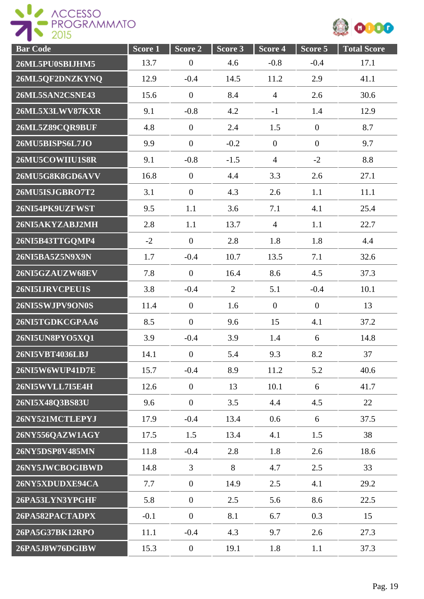



| <b>Bar Code</b> | Score 1 | Score 2          | Score 3        | Score 4          | Score 5          | <b>Total Score</b> |
|-----------------|---------|------------------|----------------|------------------|------------------|--------------------|
| 26ML5PU0SBIJHM5 | 13.7    | $\boldsymbol{0}$ | 4.6            | $-0.8$           | $-0.4$           | 17.1               |
| 26ML5QF2DNZKYNQ | 12.9    | $-0.4$           | 14.5           | 11.2             | 2.9              | 41.1               |
| 26ML5SAN2CSNE43 | 15.6    | $\theta$         | 8.4            | $\overline{4}$   | 2.6              | 30.6               |
| 26ML5X3LWV87KXR | 9.1     | $-0.8$           | 4.2            | $-1$             | 1.4              | 12.9               |
| 26ML5Z89CQR9BUF | 4.8     | $\boldsymbol{0}$ | 2.4            | 1.5              | $\boldsymbol{0}$ | 8.7                |
| 26MU5BISPS6L7JO | 9.9     | $\boldsymbol{0}$ | $-0.2$         | $\boldsymbol{0}$ | $\overline{0}$   | 9.7                |
| 26MU5COWIIU1S8R | 9.1     | $-0.8$           | $-1.5$         | $\overline{4}$   | $-2$             | 8.8                |
| 26MU5G8K8GD6AVV | 16.8    | $\theta$         | 4.4            | 3.3              | 2.6              | 27.1               |
| 26MU5ISJGBRO7T2 | 3.1     | $\theta$         | 4.3            | 2.6              | 1.1              | 11.1               |
| 26NI54PK9UZFWST | 9.5     | 1.1              | 3.6            | 7.1              | 4.1              | 25.4               |
| 26NI5AKYZABJ2MH | 2.8     | 1.1              | 13.7           | $\overline{4}$   | 1.1              | 22.7               |
| 26NI5B43TTGQMP4 | $-2$    | $\boldsymbol{0}$ | 2.8            | 1.8              | 1.8              | 4.4                |
| 26NI5BA5Z5N9X9N | 1.7     | $-0.4$           | 10.7           | 13.5             | 7.1              | 32.6               |
| 26NI5GZAUZW68EV | 7.8     | $\boldsymbol{0}$ | 16.4           | 8.6              | 4.5              | 37.3               |
| 26NI5IJRVCPEU1S | 3.8     | $-0.4$           | $\overline{2}$ | 5.1              | $-0.4$           | 10.1               |
| 26NI5SWJPV9ON0S | 11.4    | $\overline{0}$   | 1.6            | $\boldsymbol{0}$ | $\mathbf{0}$     | 13                 |
| 26NI5TGDKCGPAA6 | 8.5     | $\boldsymbol{0}$ | 9.6            | 15               | 4.1              | 37.2               |
| 26NI5UN8PYO5XQ1 | 3.9     | $-0.4$           | 3.9            | 1.4              | 6                | 14.8               |
| 26NI5VBT4036LBJ | 14.1    | $\boldsymbol{0}$ | 5.4            | 9.3              | 8.2              | 37                 |
| 26NI5W6WUP41D7E | 15.7    | $-0.4$           | 8.9            | 11.2             | 5.2              | 40.6               |
| 26NI5WVLL7I5E4H | 12.6    | $\overline{0}$   | 13             | 10.1             | 6                | 41.7               |
| 26NI5X48Q3BS83U | 9.6     | $\boldsymbol{0}$ | 3.5            | 4.4              | 4.5              | 22                 |
| 26NY521MCTLEPYJ | 17.9    | $-0.4$           | 13.4           | 0.6              | 6                | 37.5               |
| 26NY556QAZW1AGY | 17.5    | 1.5              | 13.4           | 4.1              | 1.5              | 38                 |
| 26NY5DSP8V485MN | 11.8    | $-0.4$           | 2.8            | 1.8              | 2.6              | 18.6               |
| 26NY5JWCBOGIBWD | 14.8    | 3                | 8              | 4.7              | 2.5              | 33                 |
| 26NY5XDUDXE94CA | 7.7     | $\boldsymbol{0}$ | 14.9           | 2.5              | 4.1              | 29.2               |
| 26PA53LYN3YPGHF | 5.8     | $\overline{0}$   | 2.5            | 5.6              | 8.6              | 22.5               |
| 26PA582PACTADPX | $-0.1$  | $\boldsymbol{0}$ | 8.1            | 6.7              | 0.3              | 15                 |
| 26PA5G37BK12RPO | 11.1    | $-0.4$           | 4.3            | 9.7              | 2.6              | 27.3               |
| 26PA5J8W76DGIBW | 15.3    | $\boldsymbol{0}$ | 19.1           | 1.8              | 1.1              | 37.3               |